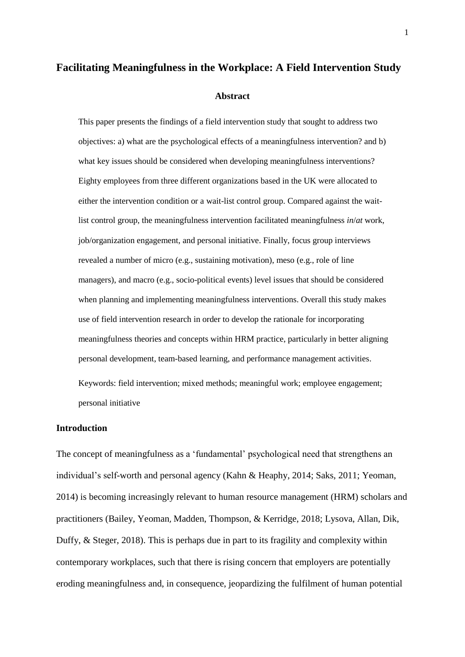# **Facilitating Meaningfulness in the Workplace: A Field Intervention Study**

#### **Abstract**

This paper presents the findings of a field intervention study that sought to address two objectives: a) what are the psychological effects of a meaningfulness intervention? and b) what key issues should be considered when developing meaningfulness interventions? Eighty employees from three different organizations based in the UK were allocated to either the intervention condition or a wait-list control group. Compared against the waitlist control group, the meaningfulness intervention facilitated meaningfulness *in*/*at* work, job/organization engagement, and personal initiative. Finally, focus group interviews revealed a number of micro (e.g., sustaining motivation), meso (e.g., role of line managers), and macro (e.g., socio-political events) level issues that should be considered when planning and implementing meaningfulness interventions. Overall this study makes use of field intervention research in order to develop the rationale for incorporating meaningfulness theories and concepts within HRM practice, particularly in better aligning personal development, team-based learning, and performance management activities. Keywords: field intervention; mixed methods; meaningful work; employee engagement;

personal initiative

## **Introduction**

The concept of meaningfulness as a 'fundamental' psychological need that strengthens an individual's self-worth and personal agency (Kahn & Heaphy, 2014; Saks, 2011; Yeoman, 2014) is becoming increasingly relevant to human resource management (HRM) scholars and practitioners (Bailey, Yeoman, Madden, Thompson, & Kerridge, 2018; Lysova, Allan, Dik, Duffy, & Steger, 2018). This is perhaps due in part to its fragility and complexity within contemporary workplaces, such that there is rising concern that employers are potentially eroding meaningfulness and, in consequence, jeopardizing the fulfilment of human potential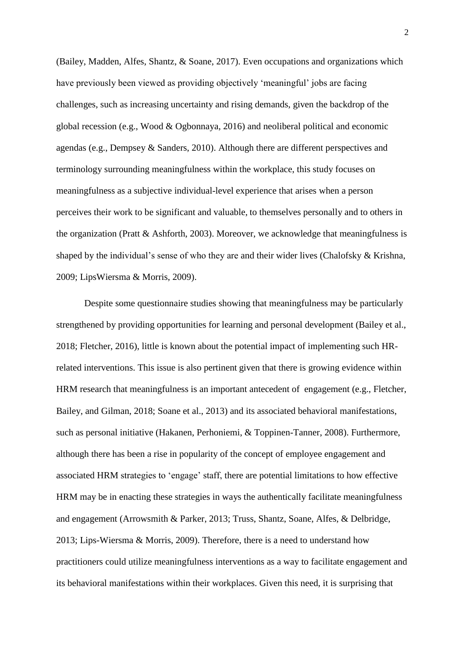(Bailey, Madden, Alfes, Shantz, & Soane, 2017). Even occupations and organizations which have previously been viewed as providing objectively 'meaningful' jobs are facing challenges, such as increasing uncertainty and rising demands, given the backdrop of the global recession (e.g., Wood & Ogbonnaya, 2016) and neoliberal political and economic agendas (e.g., Dempsey & Sanders, 2010). Although there are different perspectives and terminology surrounding meaningfulness within the workplace, this study focuses on meaningfulness as a subjective individual-level experience that arises when a person perceives their work to be significant and valuable, to themselves personally and to others in the organization (Pratt & Ashforth, 2003). Moreover, we acknowledge that meaningfulness is shaped by the individual's sense of who they are and their wider lives (Chalofsky & Krishna, 2009; LipsWiersma & Morris, 2009).

Despite some questionnaire studies showing that meaningfulness may be particularly strengthened by providing opportunities for learning and personal development (Bailey et al., 2018; Fletcher, 2016), little is known about the potential impact of implementing such HRrelated interventions. This issue is also pertinent given that there is growing evidence within HRM research that meaningfulness is an important antecedent of engagement (e.g., Fletcher, Bailey, and Gilman, 2018; Soane et al., 2013) and its associated behavioral manifestations, such as personal initiative (Hakanen, Perhoniemi, & Toppinen-Tanner, 2008). Furthermore, although there has been a rise in popularity of the concept of employee engagement and associated HRM strategies to 'engage' staff, there are potential limitations to how effective HRM may be in enacting these strategies in ways the authentically facilitate meaningfulness and engagement (Arrowsmith & Parker, 2013; Truss, Shantz, Soane, Alfes, & Delbridge, 2013; Lips-Wiersma & Morris, 2009). Therefore, there is a need to understand how practitioners could utilize meaningfulness interventions as a way to facilitate engagement and its behavioral manifestations within their workplaces. Given this need, it is surprising that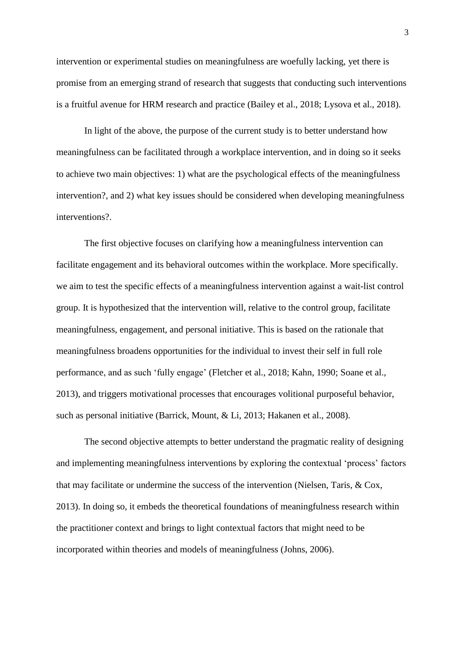intervention or experimental studies on meaningfulness are woefully lacking, yet there is promise from an emerging strand of research that suggests that conducting such interventions is a fruitful avenue for HRM research and practice (Bailey et al., 2018; Lysova et al., 2018).

In light of the above, the purpose of the current study is to better understand how meaningfulness can be facilitated through a workplace intervention, and in doing so it seeks to achieve two main objectives: 1) what are the psychological effects of the meaningfulness intervention?, and 2) what key issues should be considered when developing meaningfulness interventions?.

The first objective focuses on clarifying how a meaningfulness intervention can facilitate engagement and its behavioral outcomes within the workplace. More specifically. we aim to test the specific effects of a meaningfulness intervention against a wait-list control group. It is hypothesized that the intervention will, relative to the control group, facilitate meaningfulness, engagement, and personal initiative. This is based on the rationale that meaningfulness broadens opportunities for the individual to invest their self in full role performance, and as such 'fully engage' (Fletcher et al., 2018; Kahn, 1990; Soane et al., 2013), and triggers motivational processes that encourages volitional purposeful behavior, such as personal initiative (Barrick, Mount, & Li, 2013; Hakanen et al., 2008).

The second objective attempts to better understand the pragmatic reality of designing and implementing meaningfulness interventions by exploring the contextual 'process' factors that may facilitate or undermine the success of the intervention (Nielsen, Taris, & Cox, 2013). In doing so, it embeds the theoretical foundations of meaningfulness research within the practitioner context and brings to light contextual factors that might need to be incorporated within theories and models of meaningfulness (Johns, 2006).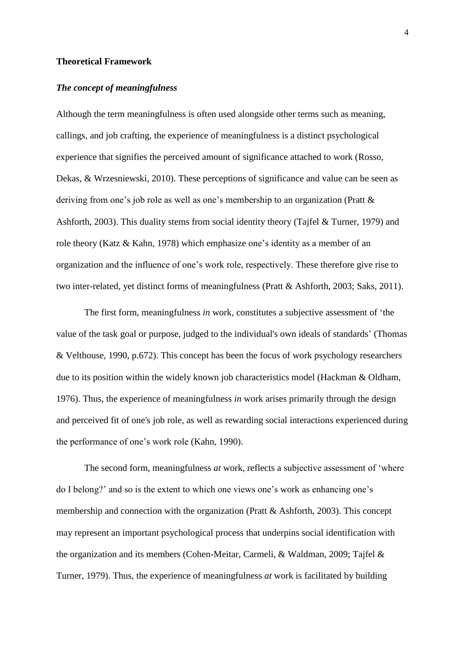## **Theoretical Framework**

## *The concept of meaningfulness*

Although the term meaningfulness is often used alongside other terms such as meaning, callings, and job crafting, the experience of meaningfulness is a distinct psychological experience that signifies the perceived amount of significance attached to work (Rosso, Dekas, & Wrzesniewski, 2010). These perceptions of significance and value can be seen as deriving from one's job role as well as one's membership to an organization (Pratt & Ashforth, 2003). This duality stems from social identity theory (Tajfel & Turner, 1979) and role theory (Katz & Kahn, 1978) which emphasize one's identity as a member of an organization and the influence of one's work role, respectively. These therefore give rise to two inter-related, yet distinct forms of meaningfulness (Pratt & Ashforth, 2003; Saks, 2011).

The first form, meaningfulness *in* work, constitutes a subjective assessment of 'the value of the task goal or purpose, judged to the individual's own ideals of standards' (Thomas & Velthouse, 1990, p.672). This concept has been the focus of work psychology researchers due to its position within the widely known job characteristics model (Hackman & Oldham, 1976). Thus, the experience of meaningfulness *in* work arises primarily through the design and perceived fit of one's job role, as well as rewarding social interactions experienced during the performance of one's work role (Kahn, 1990).

The second form, meaningfulness *at* work, reflects a subjective assessment of 'where do I belong?' and so is the extent to which one views one's work as enhancing one's membership and connection with the organization (Pratt & Ashforth, 2003). This concept may represent an important psychological process that underpins social identification with the organization and its members (Cohen-Meitar, Carmeli, & Waldman, 2009; Tajfel & Turner, 1979). Thus, the experience of meaningfulness *at* work is facilitated by building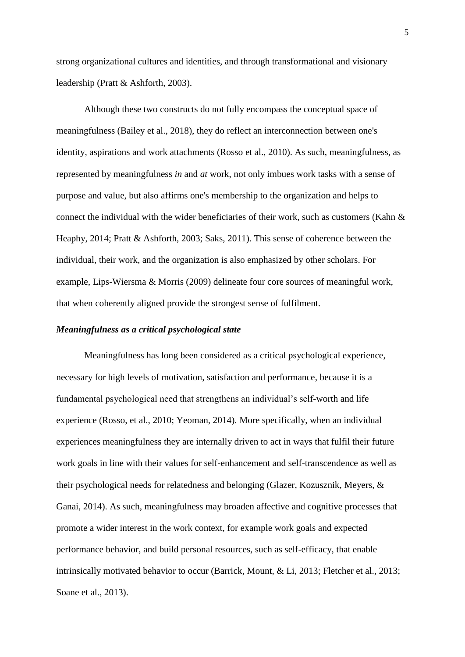strong organizational cultures and identities, and through transformational and visionary leadership (Pratt & Ashforth, 2003).

Although these two constructs do not fully encompass the conceptual space of meaningfulness (Bailey et al., 2018), they do reflect an interconnection between one's identity, aspirations and work attachments (Rosso et al., 2010). As such, meaningfulness, as represented by meaningfulness *in* and *at* work, not only imbues work tasks with a sense of purpose and value, but also affirms one's membership to the organization and helps to connect the individual with the wider beneficiaries of their work, such as customers (Kahn & Heaphy, 2014; Pratt & Ashforth, 2003; Saks, 2011). This sense of coherence between the individual, their work, and the organization is also emphasized by other scholars. For example, Lips-Wiersma & Morris (2009) delineate four core sources of meaningful work, that when coherently aligned provide the strongest sense of fulfilment.

# *Meaningfulness as a critical psychological state*

Meaningfulness has long been considered as a critical psychological experience, necessary for high levels of motivation, satisfaction and performance, because it is a fundamental psychological need that strengthens an individual's self-worth and life experience (Rosso, et al., 2010; Yeoman, 2014). More specifically, when an individual experiences meaningfulness they are internally driven to act in ways that fulfil their future work goals in line with their values for self-enhancement and self-transcendence as well as their psychological needs for relatedness and belonging (Glazer, Kozusznik, Meyers, & Ganai, 2014). As such, meaningfulness may broaden affective and cognitive processes that promote a wider interest in the work context, for example work goals and expected performance behavior, and build personal resources, such as self-efficacy, that enable intrinsically motivated behavior to occur (Barrick, Mount, & Li, 2013; Fletcher et al., 2013; Soane et al., 2013).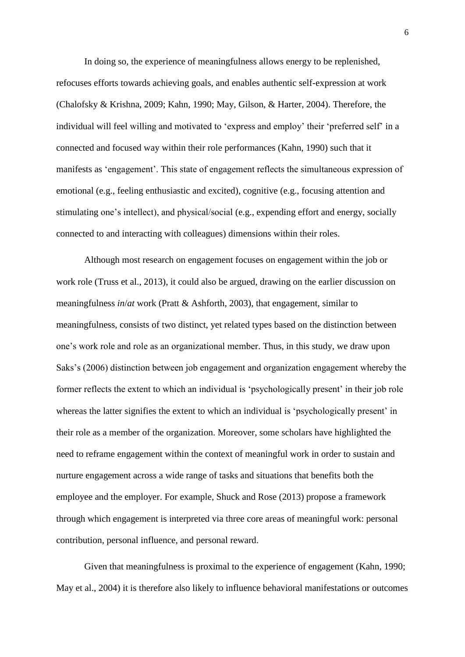In doing so, the experience of meaningfulness allows energy to be replenished, refocuses efforts towards achieving goals, and enables authentic self-expression at work (Chalofsky & Krishna, 2009; Kahn, 1990; May, Gilson, & Harter, 2004). Therefore, the individual will feel willing and motivated to 'express and employ' their 'preferred self' in a connected and focused way within their role performances (Kahn, 1990) such that it manifests as 'engagement'. This state of engagement reflects the simultaneous expression of emotional (e.g., feeling enthusiastic and excited), cognitive (e.g., focusing attention and stimulating one's intellect), and physical/social (e.g., expending effort and energy, socially connected to and interacting with colleagues) dimensions within their roles.

Although most research on engagement focuses on engagement within the job or work role (Truss et al., 2013), it could also be argued, drawing on the earlier discussion on meaningfulness *in*/*at* work (Pratt & Ashforth, 2003), that engagement, similar to meaningfulness, consists of two distinct, yet related types based on the distinction between one's work role and role as an organizational member. Thus, in this study, we draw upon Saks's (2006) distinction between job engagement and organization engagement whereby the former reflects the extent to which an individual is 'psychologically present' in their job role whereas the latter signifies the extent to which an individual is 'psychologically present' in their role as a member of the organization. Moreover, some scholars have highlighted the need to reframe engagement within the context of meaningful work in order to sustain and nurture engagement across a wide range of tasks and situations that benefits both the employee and the employer. For example, Shuck and Rose (2013) propose a framework through which engagement is interpreted via three core areas of meaningful work: personal contribution, personal influence, and personal reward.

Given that meaningfulness is proximal to the experience of engagement (Kahn, 1990; May et al., 2004) it is therefore also likely to influence behavioral manifestations or outcomes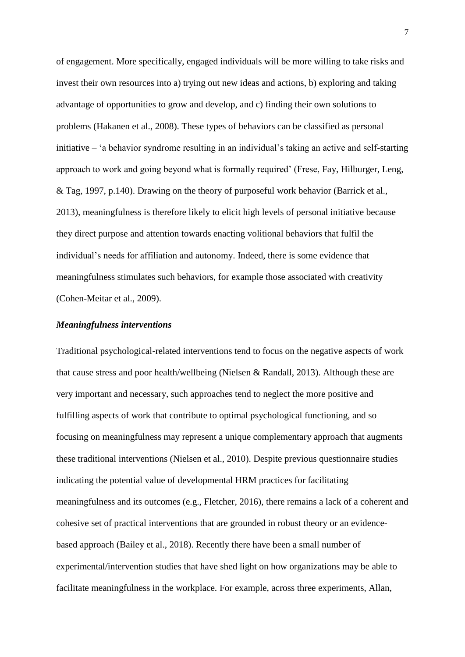of engagement. More specifically, engaged individuals will be more willing to take risks and invest their own resources into a) trying out new ideas and actions, b) exploring and taking advantage of opportunities to grow and develop, and c) finding their own solutions to problems (Hakanen et al., 2008). These types of behaviors can be classified as personal initiative – 'a behavior syndrome resulting in an individual's taking an active and self-starting approach to work and going beyond what is formally required' (Frese, Fay, Hilburger, Leng, & Tag, 1997, p.140). Drawing on the theory of purposeful work behavior (Barrick et al., 2013), meaningfulness is therefore likely to elicit high levels of personal initiative because they direct purpose and attention towards enacting volitional behaviors that fulfil the individual's needs for affiliation and autonomy. Indeed, there is some evidence that meaningfulness stimulates such behaviors, for example those associated with creativity (Cohen-Meitar et al., 2009).

#### *Meaningfulness interventions*

Traditional psychological-related interventions tend to focus on the negative aspects of work that cause stress and poor health/wellbeing (Nielsen & Randall, 2013). Although these are very important and necessary, such approaches tend to neglect the more positive and fulfilling aspects of work that contribute to optimal psychological functioning, and so focusing on meaningfulness may represent a unique complementary approach that augments these traditional interventions (Nielsen et al., 2010). Despite previous questionnaire studies indicating the potential value of developmental HRM practices for facilitating meaningfulness and its outcomes (e.g., Fletcher, 2016), there remains a lack of a coherent and cohesive set of practical interventions that are grounded in robust theory or an evidencebased approach (Bailey et al., 2018). Recently there have been a small number of experimental/intervention studies that have shed light on how organizations may be able to facilitate meaningfulness in the workplace. For example, across three experiments, Allan,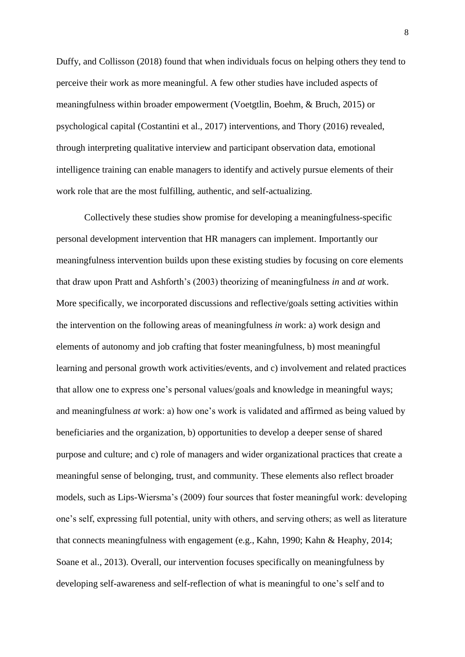Duffy, and Collisson (2018) found that when individuals focus on helping others they tend to perceive their work as more meaningful. A few other studies have included aspects of meaningfulness within broader empowerment (Voetgtlin, Boehm, & Bruch, 2015) or psychological capital (Costantini et al., 2017) interventions, and Thory (2016) revealed, through interpreting qualitative interview and participant observation data, emotional intelligence training can enable managers to identify and actively pursue elements of their work role that are the most fulfilling, authentic, and self-actualizing.

Collectively these studies show promise for developing a meaningfulness-specific personal development intervention that HR managers can implement. Importantly our meaningfulness intervention builds upon these existing studies by focusing on core elements that draw upon Pratt and Ashforth's (2003) theorizing of meaningfulness *in* and *at* work. More specifically, we incorporated discussions and reflective/goals setting activities within the intervention on the following areas of meaningfulness *in* work: a) work design and elements of autonomy and job crafting that foster meaningfulness, b) most meaningful learning and personal growth work activities/events, and c) involvement and related practices that allow one to express one's personal values/goals and knowledge in meaningful ways; and meaningfulness *at* work: a) how one's work is validated and affirmed as being valued by beneficiaries and the organization, b) opportunities to develop a deeper sense of shared purpose and culture; and c) role of managers and wider organizational practices that create a meaningful sense of belonging, trust, and community. These elements also reflect broader models, such as Lips-Wiersma's (2009) four sources that foster meaningful work: developing one's self, expressing full potential, unity with others, and serving others; as well as literature that connects meaningfulness with engagement (e.g., Kahn, 1990; Kahn & Heaphy, 2014; Soane et al., 2013). Overall, our intervention focuses specifically on meaningfulness by developing self-awareness and self-reflection of what is meaningful to one's self and to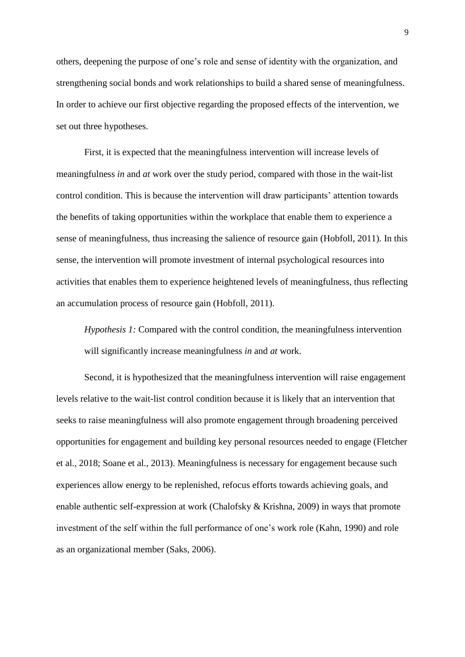others, deepening the purpose of one's role and sense of identity with the organization, and strengthening social bonds and work relationships to build a shared sense of meaningfulness. In order to achieve our first objective regarding the proposed effects of the intervention, we set out three hypotheses.

First, it is expected that the meaningfulness intervention will increase levels of meaningfulness *in* and *at* work over the study period, compared with those in the wait-list control condition. This is because the intervention will draw participants' attention towards the benefits of taking opportunities within the workplace that enable them to experience a sense of meaningfulness, thus increasing the salience of resource gain (Hobfoll, 2011). In this sense, the intervention will promote investment of internal psychological resources into activities that enables them to experience heightened levels of meaningfulness, thus reflecting an accumulation process of resource gain (Hobfoll, 2011).

*Hypothesis 1:* Compared with the control condition, the meaningfulness intervention will significantly increase meaningfulness *in* and *at* work.

Second, it is hypothesized that the meaningfulness intervention will raise engagement levels relative to the wait-list control condition because it is likely that an intervention that seeks to raise meaningfulness will also promote engagement through broadening perceived opportunities for engagement and building key personal resources needed to engage (Fletcher et al., 2018; Soane et al., 2013). Meaningfulness is necessary for engagement because such experiences allow energy to be replenished, refocus efforts towards achieving goals, and enable authentic self-expression at work (Chalofsky & Krishna, 2009) in ways that promote investment of the self within the full performance of one's work role (Kahn, 1990) and role as an organizational member (Saks, 2006).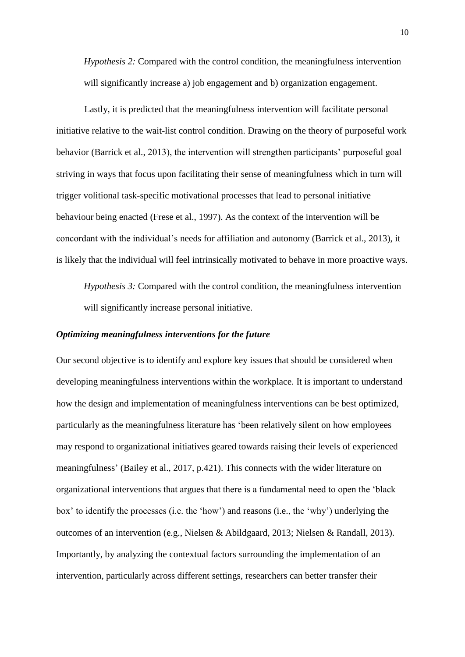*Hypothesis 2:* Compared with the control condition, the meaningfulness intervention will significantly increase a) job engagement and b) organization engagement.

Lastly, it is predicted that the meaningfulness intervention will facilitate personal initiative relative to the wait-list control condition. Drawing on the theory of purposeful work behavior (Barrick et al., 2013), the intervention will strengthen participants' purposeful goal striving in ways that focus upon facilitating their sense of meaningfulness which in turn will trigger volitional task-specific motivational processes that lead to personal initiative behaviour being enacted (Frese et al., 1997). As the context of the intervention will be concordant with the individual's needs for affiliation and autonomy (Barrick et al., 2013), it is likely that the individual will feel intrinsically motivated to behave in more proactive ways.

*Hypothesis 3:* Compared with the control condition, the meaningfulness intervention will significantly increase personal initiative.

# *Optimizing meaningfulness interventions for the future*

Our second objective is to identify and explore key issues that should be considered when developing meaningfulness interventions within the workplace. It is important to understand how the design and implementation of meaningfulness interventions can be best optimized, particularly as the meaningfulness literature has 'been relatively silent on how employees may respond to organizational initiatives geared towards raising their levels of experienced meaningfulness' (Bailey et al., 2017, p.421). This connects with the wider literature on organizational interventions that argues that there is a fundamental need to open the 'black box' to identify the processes (i.e. the 'how') and reasons (i.e., the 'why') underlying the outcomes of an intervention (e.g., Nielsen & Abildgaard, 2013; Nielsen & Randall, 2013). Importantly, by analyzing the contextual factors surrounding the implementation of an intervention, particularly across different settings, researchers can better transfer their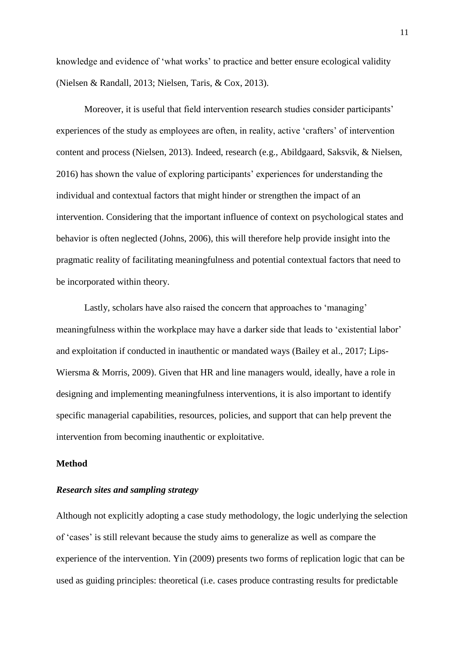knowledge and evidence of 'what works' to practice and better ensure ecological validity (Nielsen & Randall, 2013; Nielsen, Taris, & Cox, 2013).

Moreover, it is useful that field intervention research studies consider participants' experiences of the study as employees are often, in reality, active 'crafters' of intervention content and process (Nielsen, 2013). Indeed, research (e.g., Abildgaard, Saksvik, & Nielsen, 2016) has shown the value of exploring participants' experiences for understanding the individual and contextual factors that might hinder or strengthen the impact of an intervention. Considering that the important influence of context on psychological states and behavior is often neglected (Johns, 2006), this will therefore help provide insight into the pragmatic reality of facilitating meaningfulness and potential contextual factors that need to be incorporated within theory.

Lastly, scholars have also raised the concern that approaches to 'managing' meaningfulness within the workplace may have a darker side that leads to 'existential labor' and exploitation if conducted in inauthentic or mandated ways (Bailey et al., 2017; Lips-Wiersma & Morris, 2009). Given that HR and line managers would, ideally, have a role in designing and implementing meaningfulness interventions, it is also important to identify specific managerial capabilities, resources, policies, and support that can help prevent the intervention from becoming inauthentic or exploitative.

#### **Method**

# *Research sites and sampling strategy*

Although not explicitly adopting a case study methodology, the logic underlying the selection of 'cases' is still relevant because the study aims to generalize as well as compare the experience of the intervention. Yin (2009) presents two forms of replication logic that can be used as guiding principles: theoretical (i.e. cases produce contrasting results for predictable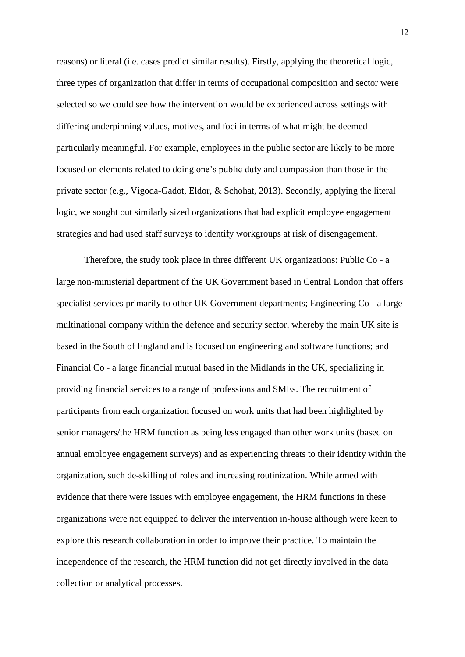reasons) or literal (i.e. cases predict similar results). Firstly, applying the theoretical logic, three types of organization that differ in terms of occupational composition and sector were selected so we could see how the intervention would be experienced across settings with differing underpinning values, motives, and foci in terms of what might be deemed particularly meaningful. For example, employees in the public sector are likely to be more focused on elements related to doing one's public duty and compassion than those in the private sector (e.g., Vigoda-Gadot, Eldor, & Schohat, 2013). Secondly, applying the literal logic, we sought out similarly sized organizations that had explicit employee engagement strategies and had used staff surveys to identify workgroups at risk of disengagement.

Therefore, the study took place in three different UK organizations: Public Co - a large non-ministerial department of the UK Government based in Central London that offers specialist services primarily to other UK Government departments; Engineering Co - a large multinational company within the defence and security sector, whereby the main UK site is based in the South of England and is focused on engineering and software functions; and Financial Co - a large financial mutual based in the Midlands in the UK, specializing in providing financial services to a range of professions and SMEs. The recruitment of participants from each organization focused on work units that had been highlighted by senior managers/the HRM function as being less engaged than other work units (based on annual employee engagement surveys) and as experiencing threats to their identity within the organization, such de-skilling of roles and increasing routinization. While armed with evidence that there were issues with employee engagement, the HRM functions in these organizations were not equipped to deliver the intervention in-house although were keen to explore this research collaboration in order to improve their practice. To maintain the independence of the research, the HRM function did not get directly involved in the data collection or analytical processes.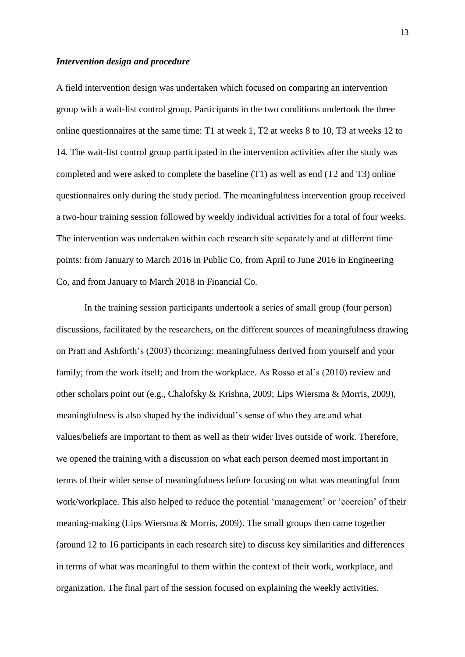# *Intervention design and procedure*

A field intervention design was undertaken which focused on comparing an intervention group with a wait-list control group. Participants in the two conditions undertook the three online questionnaires at the same time: T1 at week 1, T2 at weeks 8 to 10, T3 at weeks 12 to 14. The wait-list control group participated in the intervention activities after the study was completed and were asked to complete the baseline (T1) as well as end (T2 and T3) online questionnaires only during the study period. The meaningfulness intervention group received a two-hour training session followed by weekly individual activities for a total of four weeks. The intervention was undertaken within each research site separately and at different time points: from January to March 2016 in Public Co, from April to June 2016 in Engineering Co, and from January to March 2018 in Financial Co.

In the training session participants undertook a series of small group (four person) discussions, facilitated by the researchers, on the different sources of meaningfulness drawing on Pratt and Ashforth's (2003) theorizing: meaningfulness derived from yourself and your family; from the work itself; and from the workplace. As Rosso et al's (2010) review and other scholars point out (e.g., Chalofsky & Krishna, 2009; Lips Wiersma & Morris, 2009), meaningfulness is also shaped by the individual's sense of who they are and what values/beliefs are important to them as well as their wider lives outside of work. Therefore, we opened the training with a discussion on what each person deemed most important in terms of their wider sense of meaningfulness before focusing on what was meaningful from work/workplace. This also helped to reduce the potential 'management' or 'coercion' of their meaning-making (Lips Wiersma & Morris, 2009). The small groups then came together (around 12 to 16 participants in each research site) to discuss key similarities and differences in terms of what was meaningful to them within the context of their work, workplace, and organization. The final part of the session focused on explaining the weekly activities.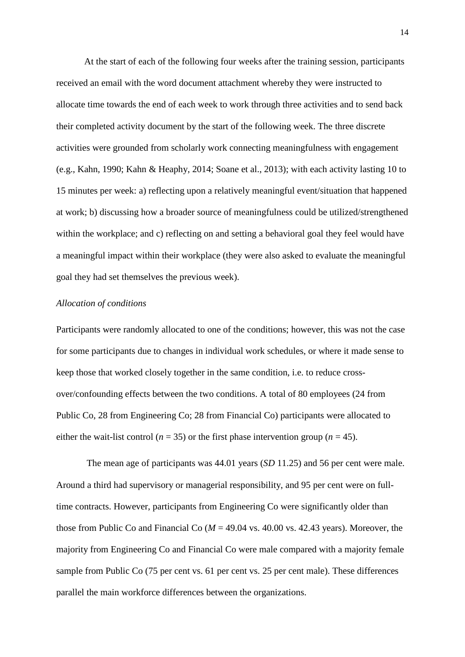At the start of each of the following four weeks after the training session, participants received an email with the word document attachment whereby they were instructed to allocate time towards the end of each week to work through three activities and to send back their completed activity document by the start of the following week. The three discrete activities were grounded from scholarly work connecting meaningfulness with engagement (e.g., Kahn, 1990; Kahn & Heaphy, 2014; Soane et al., 2013); with each activity lasting 10 to 15 minutes per week: a) reflecting upon a relatively meaningful event/situation that happened at work; b) discussing how a broader source of meaningfulness could be utilized/strengthened within the workplace; and c) reflecting on and setting a behavioral goal they feel would have a meaningful impact within their workplace (they were also asked to evaluate the meaningful goal they had set themselves the previous week).

# *Allocation of conditions*

Participants were randomly allocated to one of the conditions; however, this was not the case for some participants due to changes in individual work schedules, or where it made sense to keep those that worked closely together in the same condition, i.e. to reduce crossover/confounding effects between the two conditions. A total of 80 employees (24 from Public Co, 28 from Engineering Co; 28 from Financial Co) participants were allocated to either the wait-list control ( $n = 35$ ) or the first phase intervention group ( $n = 45$ ).

The mean age of participants was 44.01 years (*SD* 11.25) and 56 per cent were male. Around a third had supervisory or managerial responsibility, and 95 per cent were on fulltime contracts. However, participants from Engineering Co were significantly older than those from Public Co and Financial Co  $(M = 49.04 \text{ vs. } 40.00 \text{ vs. } 42.43 \text{ years})$ . Moreover, the majority from Engineering Co and Financial Co were male compared with a majority female sample from Public Co (75 per cent vs. 61 per cent vs. 25 per cent male). These differences parallel the main workforce differences between the organizations.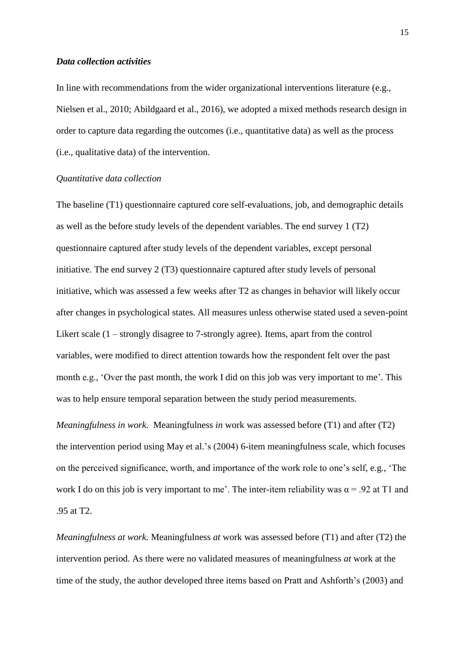## *Data collection activities*

In line with recommendations from the wider organizational interventions literature (e.g., Nielsen et al., 2010; Abildgaard et al., 2016), we adopted a mixed methods research design in order to capture data regarding the outcomes (i.e., quantitative data) as well as the process (i.e., qualitative data) of the intervention.

# *Quantitative data collection*

The baseline (T1) questionnaire captured core self-evaluations, job, and demographic details as well as the before study levels of the dependent variables. The end survey 1 (T2) questionnaire captured after study levels of the dependent variables, except personal initiative. The end survey 2 (T3) questionnaire captured after study levels of personal initiative, which was assessed a few weeks after T2 as changes in behavior will likely occur after changes in psychological states. All measures unless otherwise stated used a seven-point Likert scale (1 – strongly disagree to 7-strongly agree). Items, apart from the control variables, were modified to direct attention towards how the respondent felt over the past month e.g., 'Over the past month, the work I did on this job was very important to me'. This was to help ensure temporal separation between the study period measurements.

*Meaningfulness in work.* Meaningfulness *in* work was assessed before (T1) and after (T2) the intervention period using May et al.'s (2004) 6-item meaningfulness scale, which focuses on the perceived significance, worth, and importance of the work role to one's self, e.g., 'The work I do on this job is very important to me'. The inter-item reliability was  $\alpha$  = .92 at T1 and .95 at T2.

*Meaningfulness at work.* Meaningfulness *at* work was assessed before (T1) and after (T2) the intervention period. As there were no validated measures of meaningfulness *at* work at the time of the study, the author developed three items based on Pratt and Ashforth's (2003) and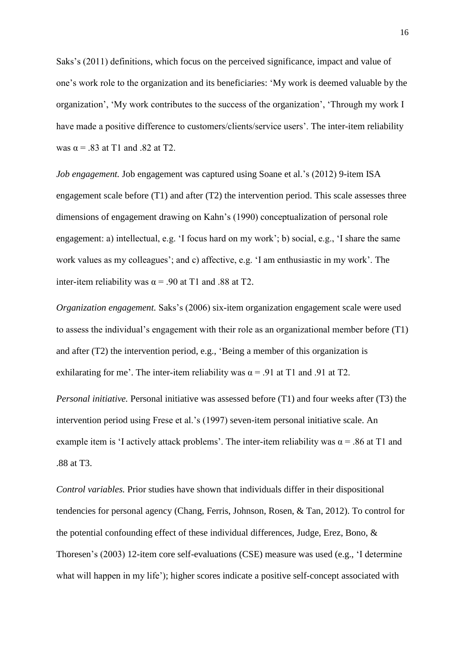Saks's (2011) definitions, which focus on the perceived significance, impact and value of one's work role to the organization and its beneficiaries: 'My work is deemed valuable by the organization', 'My work contributes to the success of the organization', 'Through my work I have made a positive difference to customers/clients/service users'. The inter-item reliability was  $\alpha$  = .83 at T1 and .82 at T2.

*Job engagement.* Job engagement was captured using Soane et al.'s (2012) 9-item ISA engagement scale before (T1) and after (T2) the intervention period. This scale assesses three dimensions of engagement drawing on Kahn's (1990) conceptualization of personal role engagement: a) intellectual, e.g. 'I focus hard on my work'; b) social, e.g., 'I share the same work values as my colleagues'; and c) affective, e.g. 'I am enthusiastic in my work'. The inter-item reliability was  $\alpha$  = .90 at T1 and .88 at T2.

*Organization engagement.* Saks's (2006) six-item organization engagement scale were used to assess the individual's engagement with their role as an organizational member before (T1) and after (T2) the intervention period, e.g., 'Being a member of this organization is exhilarating for me'. The inter-item reliability was  $\alpha$  = .91 at T1 and .91 at T2.

*Personal initiative.* Personal initiative was assessed before (T1) and four weeks after (T3) the intervention period using Frese et al.'s (1997) seven-item personal initiative scale. An example item is 'I actively attack problems'. The inter-item reliability was  $\alpha$  = .86 at T1 and .88 at T3.

*Control variables.* Prior studies have shown that individuals differ in their dispositional tendencies for personal agency (Chang, Ferris, Johnson, Rosen, & Tan, 2012). To control for the potential confounding effect of these individual differences, Judge, Erez, Bono, & Thoresen's (2003) 12-item core self-evaluations (CSE) measure was used (e.g., 'I determine what will happen in my life'); higher scores indicate a positive self-concept associated with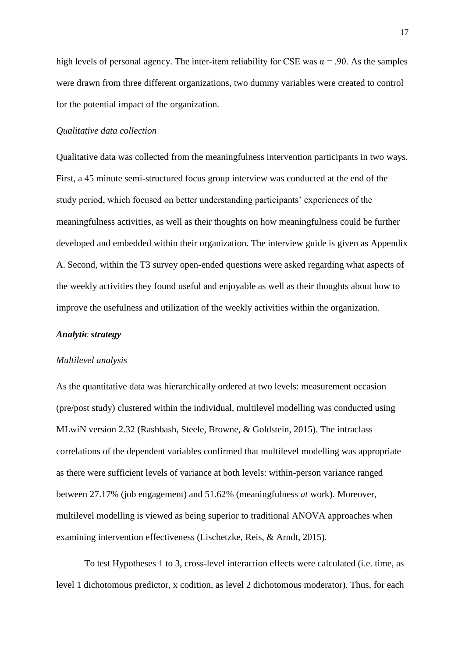high levels of personal agency. The inter-item reliability for CSE was  $\alpha$  = .90. As the samples were drawn from three different organizations, two dummy variables were created to control for the potential impact of the organization.

## *Qualitative data collection*

Qualitative data was collected from the meaningfulness intervention participants in two ways. First, a 45 minute semi-structured focus group interview was conducted at the end of the study period, which focused on better understanding participants' experiences of the meaningfulness activities, as well as their thoughts on how meaningfulness could be further developed and embedded within their organization. The interview guide is given as Appendix A. Second, within the T3 survey open-ended questions were asked regarding what aspects of the weekly activities they found useful and enjoyable as well as their thoughts about how to improve the usefulness and utilization of the weekly activities within the organization.

#### *Analytic strategy*

#### *Multilevel analysis*

As the quantitative data was hierarchically ordered at two levels: measurement occasion (pre/post study) clustered within the individual, multilevel modelling was conducted using MLwiN version 2.32 (Rashbash, Steele, Browne, & Goldstein, 2015). The intraclass correlations of the dependent variables confirmed that multilevel modelling was appropriate as there were sufficient levels of variance at both levels: within-person variance ranged between 27.17% (job engagement) and 51.62% (meaningfulness *at* work). Moreover, multilevel modelling is viewed as being superior to traditional ANOVA approaches when examining intervention effectiveness (Lischetzke, Reis, & Arndt, 2015).

To test Hypotheses 1 to 3, cross-level interaction effects were calculated (i.e. time, as level 1 dichotomous predictor, x codition, as level 2 dichotomous moderator). Thus, for each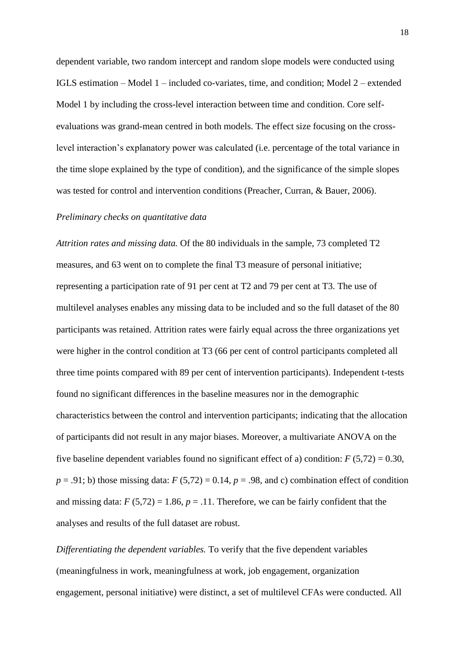dependent variable, two random intercept and random slope models were conducted using IGLS estimation – Model 1 – included co-variates, time, and condition; Model  $2$  – extended Model 1 by including the cross-level interaction between time and condition. Core selfevaluations was grand-mean centred in both models. The effect size focusing on the crosslevel interaction's explanatory power was calculated (i.e. percentage of the total variance in the time slope explained by the type of condition), and the significance of the simple slopes was tested for control and intervention conditions (Preacher, Curran, & Bauer, 2006).

### *Preliminary checks on quantitative data*

*Attrition rates and missing data.* Of the 80 individuals in the sample, 73 completed T2 measures, and 63 went on to complete the final T3 measure of personal initiative; representing a participation rate of 91 per cent at T2 and 79 per cent at T3. The use of multilevel analyses enables any missing data to be included and so the full dataset of the 80 participants was retained. Attrition rates were fairly equal across the three organizations yet were higher in the control condition at T3 (66 per cent of control participants completed all three time points compared with 89 per cent of intervention participants). Independent t-tests found no significant differences in the baseline measures nor in the demographic characteristics between the control and intervention participants; indicating that the allocation of participants did not result in any major biases. Moreover, a multivariate ANOVA on the five baseline dependent variables found no significant effect of a) condition: *F* (5,72) = 0.30,  $p = .91$ ; b) those missing data:  $F(5,72) = 0.14$ ,  $p = .98$ , and c) combination effect of condition and missing data:  $F(5,72) = 1.86$ ,  $p = .11$ . Therefore, we can be fairly confident that the analyses and results of the full dataset are robust.

*Differentiating the dependent variables.* To verify that the five dependent variables (meaningfulness in work, meaningfulness at work, job engagement, organization engagement, personal initiative) were distinct, a set of multilevel CFAs were conducted. All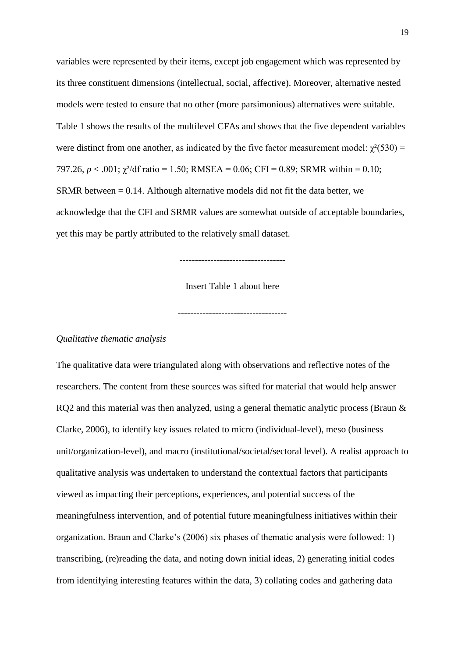variables were represented by their items, except job engagement which was represented by its three constituent dimensions (intellectual, social, affective). Moreover, alternative nested models were tested to ensure that no other (more parsimonious) alternatives were suitable. Table 1 shows the results of the multilevel CFAs and shows that the five dependent variables were distinct from one another, as indicated by the five factor measurement model:  $\chi^2(530)$  = 797.26,  $p < .001$ ;  $\gamma^2$ /df ratio = 1.50; RMSEA = 0.06; CFI = 0.89; SRMR within = 0.10; SRMR between  $= 0.14$ . Although alternative models did not fit the data better, we acknowledge that the CFI and SRMR values are somewhat outside of acceptable boundaries, yet this may be partly attributed to the relatively small dataset.

----------------------------------

Insert Table 1 about here

-----------------------------------

# *Qualitative thematic analysis*

The qualitative data were triangulated along with observations and reflective notes of the researchers. The content from these sources was sifted for material that would help answer RO2 and this material was then analyzed, using a general thematic analytic process (Braun & Clarke, 2006), to identify key issues related to micro (individual-level), meso (business unit/organization-level), and macro (institutional/societal/sectoral level). A realist approach to qualitative analysis was undertaken to understand the contextual factors that participants viewed as impacting their perceptions, experiences, and potential success of the meaningfulness intervention, and of potential future meaningfulness initiatives within their organization. Braun and Clarke's (2006) six phases of thematic analysis were followed: 1) transcribing, (re)reading the data, and noting down initial ideas, 2) generating initial codes from identifying interesting features within the data, 3) collating codes and gathering data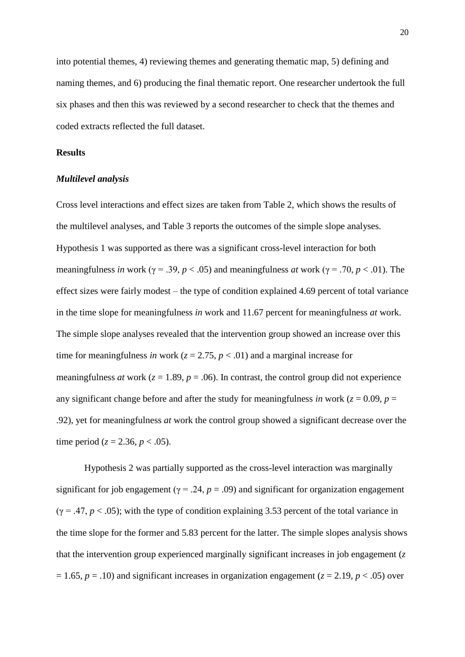into potential themes, 4) reviewing themes and generating thematic map, 5) defining and naming themes, and 6) producing the final thematic report. One researcher undertook the full six phases and then this was reviewed by a second researcher to check that the themes and coded extracts reflected the full dataset.

# **Results**

# *Multilevel analysis*

Cross level interactions and effect sizes are taken from Table 2, which shows the results of the multilevel analyses, and Table 3 reports the outcomes of the simple slope analyses. Hypothesis 1 was supported as there was a significant cross-level interaction for both meaningfulness *in* work ( $\gamma$  = .39, *p* < .05) and meaningfulness *at* work ( $\gamma$  = .70, *p* < .01). The effect sizes were fairly modest – the type of condition explained 4.69 percent of total variance in the time slope for meaningfulness *in* work and 11.67 percent for meaningfulness *at* work. The simple slope analyses revealed that the intervention group showed an increase over this time for meaningfulness *in* work ( $z = 2.75$ ,  $p < .01$ ) and a marginal increase for meaningfulness *at* work ( $z = 1.89$ ,  $p = .06$ ). In contrast, the control group did not experience any significant change before and after the study for meaningfulness *in* work ( $z = 0.09$ ,  $p =$ .92), yet for meaningfulness *at* work the control group showed a significant decrease over the time period ( $z = 2.36$ ,  $p < .05$ ).

Hypothesis 2 was partially supported as the cross-level interaction was marginally significant for job engagement ( $\gamma = .24$ ,  $p = .09$ ) and significant for organization engagement  $(\gamma = .47, p < .05)$ ; with the type of condition explaining 3.53 percent of the total variance in the time slope for the former and 5.83 percent for the latter. The simple slopes analysis shows that the intervention group experienced marginally significant increases in job engagement (*z*  $= 1.65$ ,  $p = .10$ ) and significant increases in organization engagement ( $z = 2.19$ ,  $p < .05$ ) over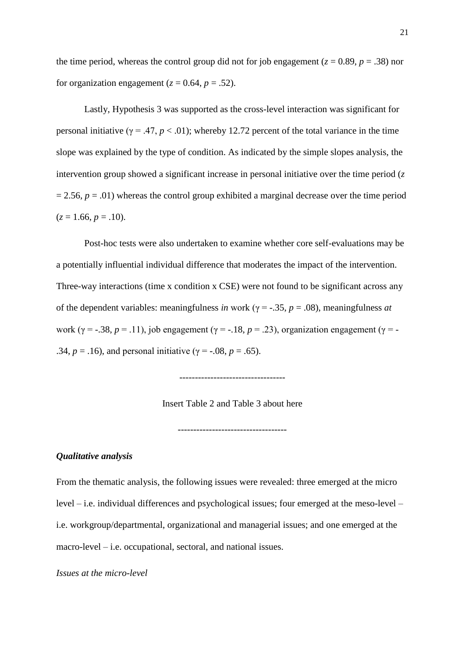the time period, whereas the control group did not for job engagement ( $z = 0.89$ ,  $p = .38$ ) nor for organization engagement ( $z = 0.64$ ,  $p = .52$ ).

Lastly, Hypothesis 3 was supported as the cross-level interaction was significant for personal initiative ( $\gamma$  = .47,  $p$  < .01); whereby 12.72 percent of the total variance in the time slope was explained by the type of condition. As indicated by the simple slopes analysis, the intervention group showed a significant increase in personal initiative over the time period (*z*  $= 2.56$ ,  $p = .01$ ) whereas the control group exhibited a marginal decrease over the time period  $(z = 1.66, p = .10).$ 

Post-hoc tests were also undertaken to examine whether core self-evaluations may be a potentially influential individual difference that moderates the impact of the intervention. Three-way interactions (time x condition x CSE) were not found to be significant across any of the dependent variables: meaningfulness *in* work (γ = -.35, *p* = .08), meaningfulness *at*  work ( $\gamma$  = -.38, *p* = .11), job engagement ( $\gamma$  = -.18, *p* = .23), organization engagement ( $\gamma$  = -.34,  $p = .16$ ), and personal initiative ( $\gamma = .08$ ,  $p = .65$ ).

----------------------------------

Insert Table 2 and Table 3 about here

-----------------------------------

# *Qualitative analysis*

From the thematic analysis, the following issues were revealed: three emerged at the micro level – i.e. individual differences and psychological issues; four emerged at the meso-level – i.e. workgroup/departmental, organizational and managerial issues; and one emerged at the macro-level – i.e. occupational, sectoral, and national issues.

*Issues at the micro-level*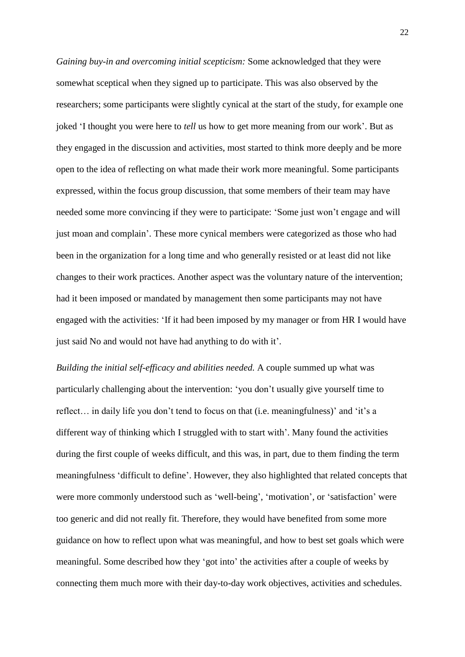*Gaining buy-in and overcoming initial scepticism:* Some acknowledged that they were somewhat sceptical when they signed up to participate. This was also observed by the researchers; some participants were slightly cynical at the start of the study, for example one joked 'I thought you were here to *tell* us how to get more meaning from our work'. But as they engaged in the discussion and activities, most started to think more deeply and be more open to the idea of reflecting on what made their work more meaningful. Some participants expressed, within the focus group discussion, that some members of their team may have needed some more convincing if they were to participate: 'Some just won't engage and will just moan and complain'. These more cynical members were categorized as those who had been in the organization for a long time and who generally resisted or at least did not like changes to their work practices. Another aspect was the voluntary nature of the intervention; had it been imposed or mandated by management then some participants may not have engaged with the activities: 'If it had been imposed by my manager or from HR I would have just said No and would not have had anything to do with it'.

*Building the initial self-efficacy and abilities needed.* A couple summed up what was particularly challenging about the intervention: 'you don't usually give yourself time to reflect… in daily life you don't tend to focus on that (i.e. meaningfulness)' and 'it's a different way of thinking which I struggled with to start with'. Many found the activities during the first couple of weeks difficult, and this was, in part, due to them finding the term meaningfulness 'difficult to define'. However, they also highlighted that related concepts that were more commonly understood such as 'well-being', 'motivation', or 'satisfaction' were too generic and did not really fit. Therefore, they would have benefited from some more guidance on how to reflect upon what was meaningful, and how to best set goals which were meaningful. Some described how they 'got into' the activities after a couple of weeks by connecting them much more with their day-to-day work objectives, activities and schedules.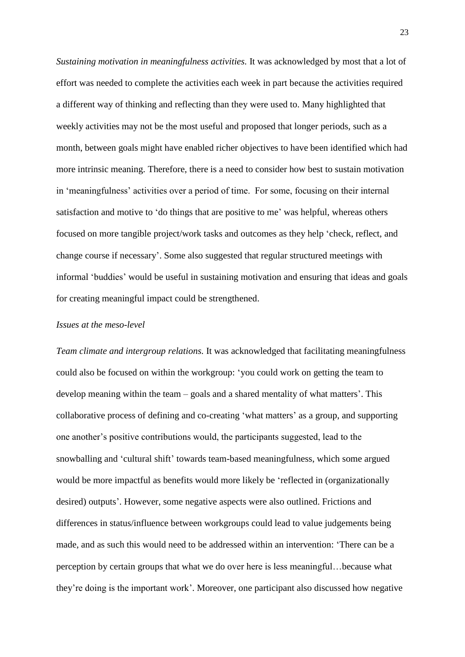*Sustaining motivation in meaningfulness activities.* It was acknowledged by most that a lot of effort was needed to complete the activities each week in part because the activities required a different way of thinking and reflecting than they were used to. Many highlighted that weekly activities may not be the most useful and proposed that longer periods, such as a month, between goals might have enabled richer objectives to have been identified which had more intrinsic meaning. Therefore, there is a need to consider how best to sustain motivation in 'meaningfulness' activities over a period of time. For some, focusing on their internal satisfaction and motive to 'do things that are positive to me' was helpful, whereas others focused on more tangible project/work tasks and outcomes as they help 'check, reflect, and change course if necessary'. Some also suggested that regular structured meetings with informal 'buddies' would be useful in sustaining motivation and ensuring that ideas and goals for creating meaningful impact could be strengthened.

# *Issues at the meso-level*

*Team climate and intergroup relations.* It was acknowledged that facilitating meaningfulness could also be focused on within the workgroup: 'you could work on getting the team to develop meaning within the team – goals and a shared mentality of what matters'. This collaborative process of defining and co-creating 'what matters' as a group, and supporting one another's positive contributions would, the participants suggested, lead to the snowballing and 'cultural shift' towards team-based meaningfulness, which some argued would be more impactful as benefits would more likely be 'reflected in (organizationally desired) outputs'. However, some negative aspects were also outlined. Frictions and differences in status/influence between workgroups could lead to value judgements being made, and as such this would need to be addressed within an intervention: 'There can be a perception by certain groups that what we do over here is less meaningful…because what they're doing is the important work'. Moreover, one participant also discussed how negative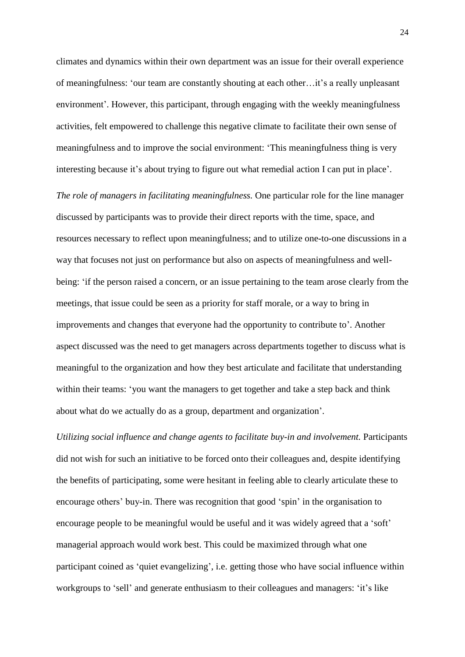climates and dynamics within their own department was an issue for their overall experience of meaningfulness: 'our team are constantly shouting at each other…it's a really unpleasant environment'. However, this participant, through engaging with the weekly meaningfulness activities, felt empowered to challenge this negative climate to facilitate their own sense of meaningfulness and to improve the social environment: 'This meaningfulness thing is very interesting because it's about trying to figure out what remedial action I can put in place'.

*The role of managers in facilitating meaningfulness.* One particular role for the line manager discussed by participants was to provide their direct reports with the time, space, and resources necessary to reflect upon meaningfulness; and to utilize one-to-one discussions in a way that focuses not just on performance but also on aspects of meaningfulness and wellbeing: 'if the person raised a concern, or an issue pertaining to the team arose clearly from the meetings, that issue could be seen as a priority for staff morale, or a way to bring in improvements and changes that everyone had the opportunity to contribute to'. Another aspect discussed was the need to get managers across departments together to discuss what is meaningful to the organization and how they best articulate and facilitate that understanding within their teams: 'you want the managers to get together and take a step back and think about what do we actually do as a group, department and organization'.

*Utilizing social influence and change agents to facilitate buy-in and involvement.* Participants did not wish for such an initiative to be forced onto their colleagues and, despite identifying the benefits of participating, some were hesitant in feeling able to clearly articulate these to encourage others' buy-in. There was recognition that good 'spin' in the organisation to encourage people to be meaningful would be useful and it was widely agreed that a 'soft' managerial approach would work best. This could be maximized through what one participant coined as 'quiet evangelizing', i.e. getting those who have social influence within workgroups to 'sell' and generate enthusiasm to their colleagues and managers: 'it's like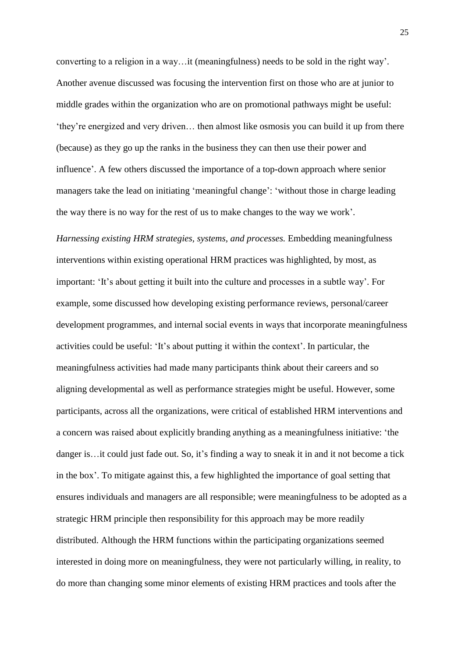converting to a religion in a way…it (meaningfulness) needs to be sold in the right way'. Another avenue discussed was focusing the intervention first on those who are at junior to middle grades within the organization who are on promotional pathways might be useful: 'they're energized and very driven… then almost like osmosis you can build it up from there (because) as they go up the ranks in the business they can then use their power and influence'. A few others discussed the importance of a top-down approach where senior managers take the lead on initiating 'meaningful change': 'without those in charge leading the way there is no way for the rest of us to make changes to the way we work'.

*Harnessing existing HRM strategies, systems, and processes.* Embedding meaningfulness interventions within existing operational HRM practices was highlighted, by most, as important: 'It's about getting it built into the culture and processes in a subtle way'. For example, some discussed how developing existing performance reviews, personal/career development programmes, and internal social events in ways that incorporate meaningfulness activities could be useful: 'It's about putting it within the context'. In particular, the meaningfulness activities had made many participants think about their careers and so aligning developmental as well as performance strategies might be useful. However, some participants, across all the organizations, were critical of established HRM interventions and a concern was raised about explicitly branding anything as a meaningfulness initiative: 'the danger is…it could just fade out. So, it's finding a way to sneak it in and it not become a tick in the box'. To mitigate against this, a few highlighted the importance of goal setting that ensures individuals and managers are all responsible; were meaningfulness to be adopted as a strategic HRM principle then responsibility for this approach may be more readily distributed. Although the HRM functions within the participating organizations seemed interested in doing more on meaningfulness, they were not particularly willing, in reality, to do more than changing some minor elements of existing HRM practices and tools after the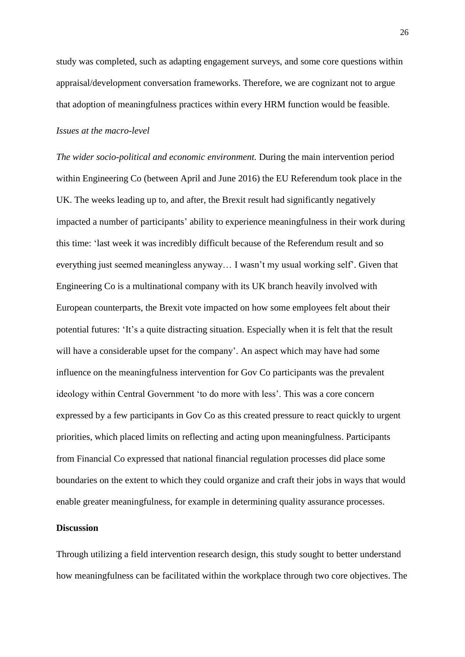study was completed, such as adapting engagement surveys, and some core questions within appraisal/development conversation frameworks. Therefore, we are cognizant not to argue that adoption of meaningfulness practices within every HRM function would be feasible.

#### *Issues at the macro-level*

*The wider socio-political and economic environment.* During the main intervention period within Engineering Co (between April and June 2016) the EU Referendum took place in the UK. The weeks leading up to, and after, the Brexit result had significantly negatively impacted a number of participants' ability to experience meaningfulness in their work during this time: 'last week it was incredibly difficult because of the Referendum result and so everything just seemed meaningless anyway… I wasn't my usual working self'. Given that Engineering Co is a multinational company with its UK branch heavily involved with European counterparts, the Brexit vote impacted on how some employees felt about their potential futures: 'It's a quite distracting situation. Especially when it is felt that the result will have a considerable upset for the company'. An aspect which may have had some influence on the meaningfulness intervention for Gov Co participants was the prevalent ideology within Central Government 'to do more with less'. This was a core concern expressed by a few participants in Gov Co as this created pressure to react quickly to urgent priorities, which placed limits on reflecting and acting upon meaningfulness. Participants from Financial Co expressed that national financial regulation processes did place some boundaries on the extent to which they could organize and craft their jobs in ways that would enable greater meaningfulness, for example in determining quality assurance processes.

# **Discussion**

Through utilizing a field intervention research design, this study sought to better understand how meaningfulness can be facilitated within the workplace through two core objectives. The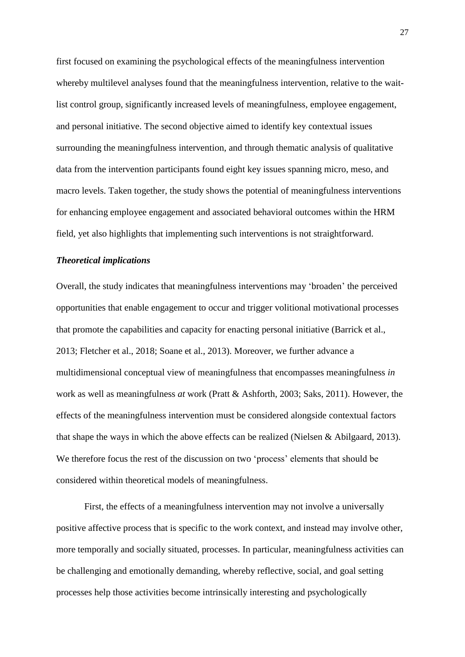first focused on examining the psychological effects of the meaningfulness intervention whereby multilevel analyses found that the meaningfulness intervention, relative to the waitlist control group, significantly increased levels of meaningfulness, employee engagement, and personal initiative. The second objective aimed to identify key contextual issues surrounding the meaningfulness intervention, and through thematic analysis of qualitative data from the intervention participants found eight key issues spanning micro, meso, and macro levels. Taken together, the study shows the potential of meaningfulness interventions for enhancing employee engagement and associated behavioral outcomes within the HRM field, yet also highlights that implementing such interventions is not straightforward.

### *Theoretical implications*

Overall, the study indicates that meaningfulness interventions may 'broaden' the perceived opportunities that enable engagement to occur and trigger volitional motivational processes that promote the capabilities and capacity for enacting personal initiative (Barrick et al., 2013; Fletcher et al., 2018; Soane et al., 2013). Moreover, we further advance a multidimensional conceptual view of meaningfulness that encompasses meaningfulness *in* work as well as meaningfulness *at* work (Pratt & Ashforth, 2003; Saks, 2011). However, the effects of the meaningfulness intervention must be considered alongside contextual factors that shape the ways in which the above effects can be realized (Nielsen & Abilgaard, 2013). We therefore focus the rest of the discussion on two 'process' elements that should be considered within theoretical models of meaningfulness.

First, the effects of a meaningfulness intervention may not involve a universally positive affective process that is specific to the work context, and instead may involve other, more temporally and socially situated, processes. In particular, meaningfulness activities can be challenging and emotionally demanding, whereby reflective, social, and goal setting processes help those activities become intrinsically interesting and psychologically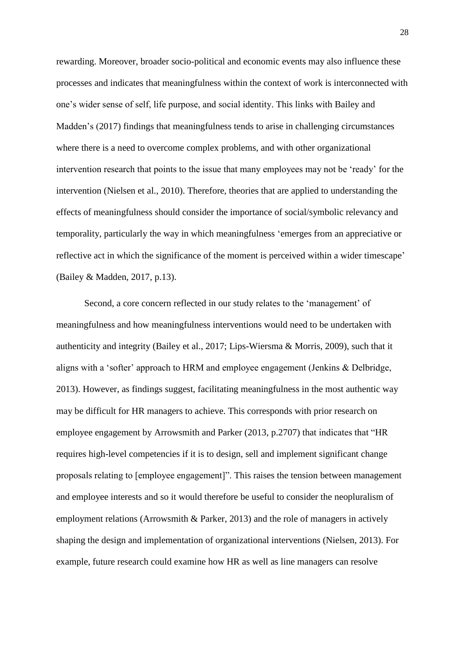rewarding. Moreover, broader socio-political and economic events may also influence these processes and indicates that meaningfulness within the context of work is interconnected with one's wider sense of self, life purpose, and social identity. This links with Bailey and Madden's (2017) findings that meaningfulness tends to arise in challenging circumstances where there is a need to overcome complex problems, and with other organizational intervention research that points to the issue that many employees may not be 'ready' for the intervention (Nielsen et al., 2010). Therefore, theories that are applied to understanding the effects of meaningfulness should consider the importance of social/symbolic relevancy and temporality, particularly the way in which meaningfulness 'emerges from an appreciative or reflective act in which the significance of the moment is perceived within a wider timescape' (Bailey & Madden, 2017, p.13).

Second, a core concern reflected in our study relates to the 'management' of meaningfulness and how meaningfulness interventions would need to be undertaken with authenticity and integrity (Bailey et al., 2017; Lips-Wiersma & Morris, 2009), such that it aligns with a 'softer' approach to HRM and employee engagement (Jenkins & Delbridge, 2013). However, as findings suggest, facilitating meaningfulness in the most authentic way may be difficult for HR managers to achieve. This corresponds with prior research on employee engagement by Arrowsmith and Parker (2013, p.2707) that indicates that "HR requires high-level competencies if it is to design, sell and implement significant change proposals relating to [employee engagement]". This raises the tension between management and employee interests and so it would therefore be useful to consider the neopluralism of employment relations (Arrowsmith & Parker, 2013) and the role of managers in actively shaping the design and implementation of organizational interventions (Nielsen, 2013). For example, future research could examine how HR as well as line managers can resolve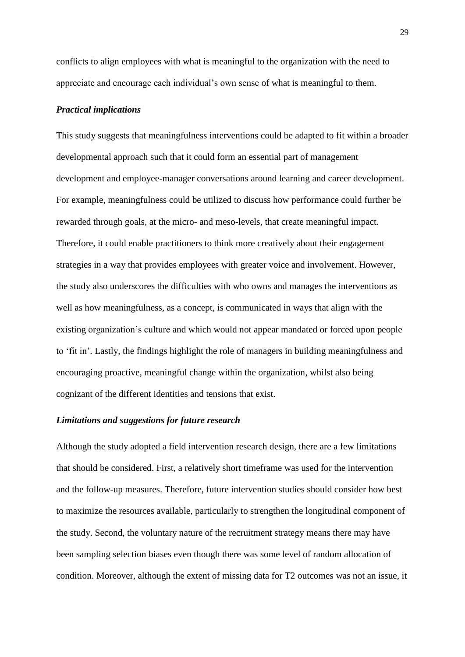conflicts to align employees with what is meaningful to the organization with the need to appreciate and encourage each individual's own sense of what is meaningful to them.

#### *Practical implications*

This study suggests that meaningfulness interventions could be adapted to fit within a broader developmental approach such that it could form an essential part of management development and employee-manager conversations around learning and career development. For example, meaningfulness could be utilized to discuss how performance could further be rewarded through goals, at the micro- and meso-levels, that create meaningful impact. Therefore, it could enable practitioners to think more creatively about their engagement strategies in a way that provides employees with greater voice and involvement. However, the study also underscores the difficulties with who owns and manages the interventions as well as how meaningfulness, as a concept, is communicated in ways that align with the existing organization's culture and which would not appear mandated or forced upon people to 'fit in'. Lastly, the findings highlight the role of managers in building meaningfulness and encouraging proactive, meaningful change within the organization, whilst also being cognizant of the different identities and tensions that exist.

## *Limitations and suggestions for future research*

Although the study adopted a field intervention research design, there are a few limitations that should be considered. First, a relatively short timeframe was used for the intervention and the follow-up measures. Therefore, future intervention studies should consider how best to maximize the resources available, particularly to strengthen the longitudinal component of the study. Second, the voluntary nature of the recruitment strategy means there may have been sampling selection biases even though there was some level of random allocation of condition. Moreover, although the extent of missing data for T2 outcomes was not an issue, it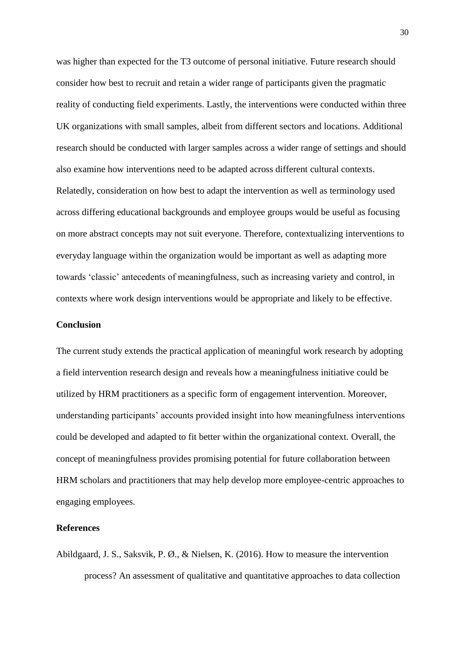was higher than expected for the T3 outcome of personal initiative. Future research should consider how best to recruit and retain a wider range of participants given the pragmatic reality of conducting field experiments. Lastly, the interventions were conducted within three UK organizations with small samples, albeit from different sectors and locations. Additional research should be conducted with larger samples across a wider range of settings and should also examine how interventions need to be adapted across different cultural contexts. Relatedly, consideration on how best to adapt the intervention as well as terminology used across differing educational backgrounds and employee groups would be useful as focusing on more abstract concepts may not suit everyone. Therefore, contextualizing interventions to everyday language within the organization would be important as well as adapting more towards 'classic' antecedents of meaningfulness, such as increasing variety and control, in contexts where work design interventions would be appropriate and likely to be effective.

# **Conclusion**

The current study extends the practical application of meaningful work research by adopting a field intervention research design and reveals how a meaningfulness initiative could be utilized by HRM practitioners as a specific form of engagement intervention. Moreover, understanding participants' accounts provided insight into how meaningfulness interventions could be developed and adapted to fit better within the organizational context. Overall, the concept of meaningfulness provides promising potential for future collaboration between HRM scholars and practitioners that may help develop more employee-centric approaches to engaging employees.

# **References**

Abildgaard, J. S., Saksvik, P. Ø., & Nielsen, K. (2016). How to measure the intervention process? An assessment of qualitative and quantitative approaches to data collection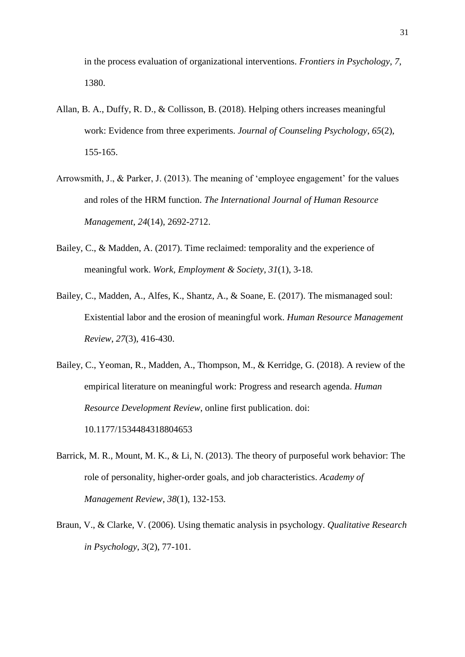in the process evaluation of organizational interventions. *Frontiers in Psychology*, *7*, 1380.

- Allan, B. A., Duffy, R. D., & Collisson, B. (2018). Helping others increases meaningful work: Evidence from three experiments. *Journal of Counseling Psychology*, *65*(2), 155-165.
- Arrowsmith, J., & Parker, J. (2013). The meaning of 'employee engagement' for the values and roles of the HRM function. *The International Journal of Human Resource Management*, *24*(14), 2692-2712.
- Bailey, C., & Madden, A. (2017). Time reclaimed: temporality and the experience of meaningful work. *Work, Employment & Society*, *31*(1), 3-18.
- Bailey, C., Madden, A., Alfes, K., Shantz, A., & Soane, E. (2017). The mismanaged soul: Existential labor and the erosion of meaningful work. *Human Resource Management Review*, *27*(3), 416-430.
- Bailey, C., Yeoman, R., Madden, A., Thompson, M., & Kerridge, G. (2018). A review of the empirical literature on meaningful work: Progress and research agenda. *Human Resource Development Review*, online first publication. doi: 10.1177/1534484318804653
- Barrick, M. R., Mount, M. K., & Li, N. (2013). The theory of purposeful work behavior: The role of personality, higher-order goals, and job characteristics. *Academy of Management Review*, *38*(1), 132-153.
- Braun, V., & Clarke, V. (2006). Using thematic analysis in psychology. *Qualitative Research in Psychology*, *3*(2), 77-101.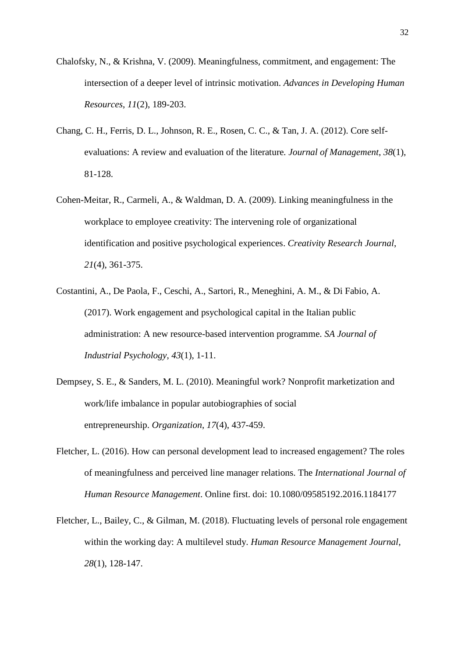- Chalofsky, N., & Krishna, V. (2009). Meaningfulness, commitment, and engagement: The intersection of a deeper level of intrinsic motivation. *Advances in Developing Human Resources*, *11*(2), 189-203.
- Chang, C. H., Ferris, D. L., Johnson, R. E., Rosen, C. C., & Tan, J. A. (2012). Core selfevaluations: A review and evaluation of the literature*. Journal of Management*, *38*(1), 81-128.
- Cohen-Meitar, R., Carmeli, A., & Waldman, D. A. (2009). Linking meaningfulness in the workplace to employee creativity: The intervening role of organizational identification and positive psychological experiences. *Creativity Research Journal*, *21*(4), 361-375.
- Costantini, A., De Paola, F., Ceschi, A., Sartori, R., Meneghini, A. M., & Di Fabio, A. (2017). Work engagement and psychological capital in the Italian public administration: A new resource-based intervention programme. *SA Journal of Industrial Psychology*, *43*(1), 1-11.
- Dempsey, S. E., & Sanders, M. L. (2010). Meaningful work? Nonprofit marketization and work/life imbalance in popular autobiographies of social entrepreneurship. *Organization*, *17*(4), 437-459.
- Fletcher, L. (2016). How can personal development lead to increased engagement? The roles of meaningfulness and perceived line manager relations. The *International Journal of Human Resource Management*. Online first. doi: 10.1080/09585192.2016.1184177
- Fletcher, L., Bailey, C., & Gilman, M. (2018). Fluctuating levels of personal role engagement within the working day: A multilevel study. *Human Resource Management Journal*, *28*(1), 128-147.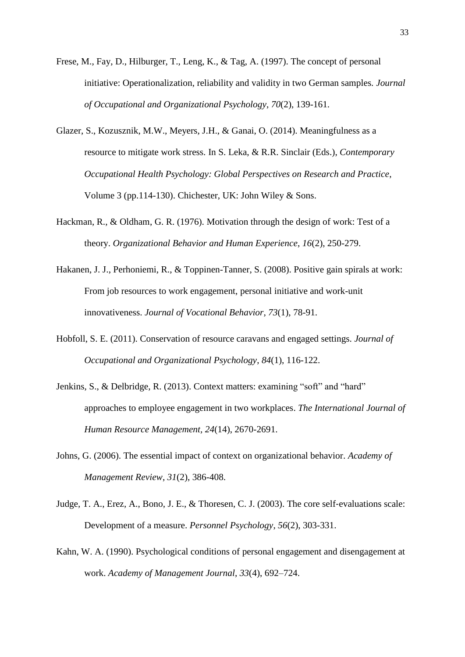- Frese, M., Fay, D., Hilburger, T., Leng, K., & Tag, A. (1997). The concept of personal initiative: Operationalization, reliability and validity in two German samples*. Journal of Occupational and Organizational Psychology*, *70*(2), 139-161.
- Glazer, S., Kozusznik, M.W., Meyers, J.H., & Ganai, O. (2014). Meaningfulness as a resource to mitigate work stress. In S. Leka, & R.R. Sinclair (Eds.), *Contemporary Occupational Health Psychology: Global Perspectives on Research and Practice*, Volume 3 (pp.114-130). Chichester, UK: John Wiley & Sons.
- Hackman, R., & Oldham, G. R. (1976). Motivation through the design of work: Test of a theory. *Organizational Behavior and Human Experience*, *16*(2), 250-279.
- Hakanen, J. J., Perhoniemi, R., & Toppinen-Tanner, S. (2008). Positive gain spirals at work: From job resources to work engagement, personal initiative and work-unit innovativeness. *Journal of Vocational Behavior*, *73*(1), 78-91.
- Hobfoll, S. E. (2011). Conservation of resource caravans and engaged settings. *Journal of Occupational and Organizational Psychology*, *84*(1), 116-122.
- Jenkins, S., & Delbridge, R. (2013). Context matters: examining "soft" and "hard" approaches to employee engagement in two workplaces. *The International Journal of Human Resource Management, 24*(14), 2670-2691.
- Johns, G. (2006). The essential impact of context on organizational behavior. *Academy of Management Review*, *31*(2), 386-408.
- Judge, T. A., Erez, A., Bono, J. E., & Thoresen, C. J. (2003). The core self‐evaluations scale: Development of a measure. *Personnel Psychology*, *56*(2), 303-331.
- Kahn, W. A. (1990). Psychological conditions of personal engagement and disengagement at work. *Academy of Management Journal*, *33*(4), 692–724.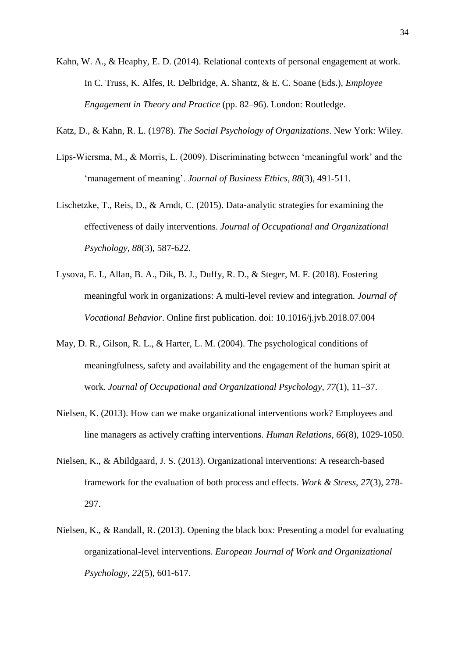- Kahn, W. A., & Heaphy, E. D. (2014). Relational contexts of personal engagement at work. In C. Truss, K. Alfes, R. Delbridge, A. Shantz, & E. C. Soane (Eds.), *Employee Engagement in Theory and Practice* (pp. 82–96). London: Routledge.
- Katz, D., & Kahn, R. L. (1978). *The Social Psychology of Organizations*. New York: Wiley.
- Lips-Wiersma, M., & Morris, L. (2009). Discriminating between 'meaningful work' and the 'management of meaning'. *Journal of Business Ethics*, *88*(3), 491-511.
- Lischetzke, T., Reis, D., & Arndt, C. (2015). Data‐analytic strategies for examining the effectiveness of daily interventions. *Journal of Occupational and Organizational Psychology*, *88*(3), 587-622.
- Lysova, E. I., Allan, B. A., Dik, B. J., Duffy, R. D., & Steger, M. F. (2018). Fostering meaningful work in organizations: A multi-level review and integration. *Journal of Vocational Behavior*. Online first publication. doi: 10.1016/j.jvb.2018.07.004
- May, D. R., Gilson, R. L., & Harter, L. M. (2004). The psychological conditions of meaningfulness, safety and availability and the engagement of the human spirit at work. *Journal of Occupational and Organizational Psychology*, *77*(1), 11–37.
- Nielsen, K. (2013). How can we make organizational interventions work? Employees and line managers as actively crafting interventions. *Human Relations*, *66*(8), 1029-1050.
- Nielsen, K., & Abildgaard, J. S. (2013). Organizational interventions: A research-based framework for the evaluation of both process and effects. *Work & Stress*, *27*(3), 278- 297.
- Nielsen, K., & Randall, R. (2013). Opening the black box: Presenting a model for evaluating organizational-level interventions*. European Journal of Work and Organizational Psychology*, *22*(5), 601-617.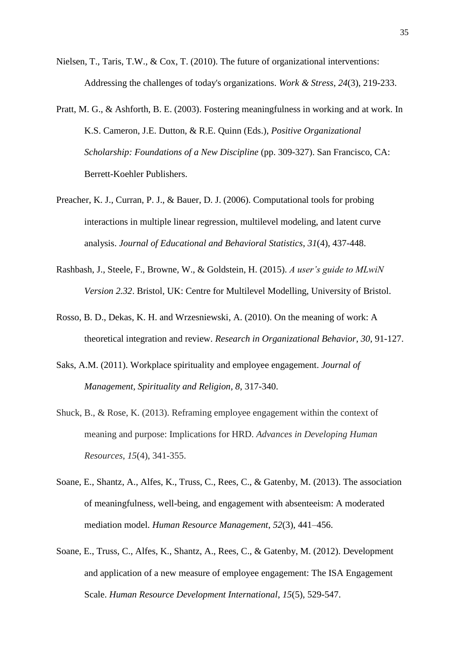- Nielsen, T., Taris, T.W., & Cox, T. (2010). The future of organizational interventions: Addressing the challenges of today's organizations. *Work & Stress*, *24*(3), 219-233.
- Pratt, M. G., & Ashforth, B. E. (2003). Fostering meaningfulness in working and at work. In K.S. Cameron, J.E. Dutton, & R.E. Quinn (Eds.), *Positive Organizational Scholarship: Foundations of a New Discipline* (pp. 309-327). San Francisco, CA: Berrett-Koehler Publishers.
- Preacher, K. J., Curran, P. J., & Bauer, D. J. (2006). Computational tools for probing interactions in multiple linear regression, multilevel modeling, and latent curve analysis. *Journal of Educational and Behavioral Statistics*, *31*(4), 437-448.
- Rashbash, J., Steele, F., Browne, W., & Goldstein, H. (2015). *A user's guide to MLwiN Version 2.32*. Bristol, UK: Centre for Multilevel Modelling, University of Bristol.
- Rosso, B. D., Dekas, K. H. and Wrzesniewski, A. (2010). On the meaning of work: A theoretical integration and review. *Research in Organizational Behavior*, *30*, 91-127.
- Saks, A.M. (2011). Workplace spirituality and employee engagement. *Journal of Management, Spirituality and Religion, 8*, 317-340.
- Shuck, B., & Rose, K. (2013). Reframing employee engagement within the context of meaning and purpose: Implications for HRD. *Advances in Developing Human Resources*, *15*(4), 341-355.
- Soane, E., Shantz, A., Alfes, K., Truss, C., Rees, C., & Gatenby, M. (2013). The association of meaningfulness, well-being, and engagement with absenteeism: A moderated mediation model. *Human Resource Management*, *52*(3), 441–456.
- Soane, E., Truss, C., Alfes, K., Shantz, A., Rees, C., & Gatenby, M. (2012). Development and application of a new measure of employee engagement: The ISA Engagement Scale. *Human Resource Development International*, *15*(5), 529-547.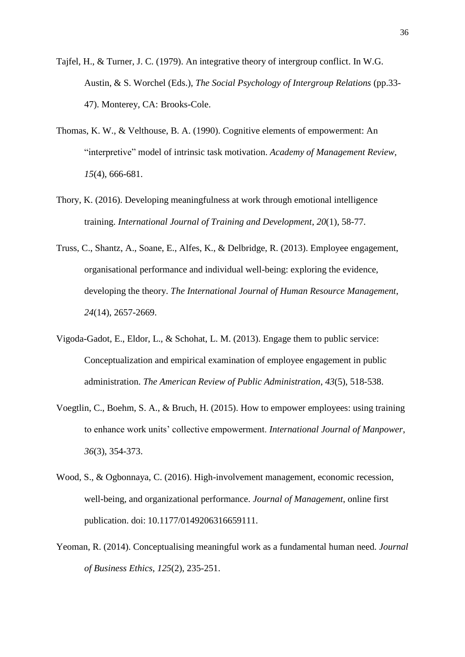- Tajfel, H., & Turner, J. C. (1979). An integrative theory of intergroup conflict. In W.G. Austin, & S. Worchel (Eds.), *The Social Psychology of Intergroup Relations* (pp.33- 47). Monterey, CA: Brooks-Cole.
- Thomas, K. W., & Velthouse, B. A. (1990). Cognitive elements of empowerment: An "interpretive" model of intrinsic task motivation. *Academy of Management Review*, *15*(4), 666-681.
- Thory, K. (2016). Developing meaningfulness at work through emotional intelligence training. *International Journal of Training and Development*, *20*(1), 58-77.
- Truss, C., Shantz, A., Soane, E., Alfes, K., & Delbridge, R. (2013). Employee engagement, organisational performance and individual well-being: exploring the evidence, developing the theory. *The International Journal of Human Resource Management*, *24*(14), 2657-2669.
- Vigoda-Gadot, E., Eldor, L., & Schohat, L. M. (2013). Engage them to public service: Conceptualization and empirical examination of employee engagement in public administration. *The American Review of Public Administration*, *43*(5), 518-538.
- Voegtlin, C., Boehm, S. A., & Bruch, H. (2015). How to empower employees: using training to enhance work units' collective empowerment. *International Journal of Manpower*, *36*(3), 354-373.
- Wood, S., & Ogbonnaya, C. (2016). High-involvement management, economic recession, well-being, and organizational performance. *Journal of Management*, online first publication. doi: 10.1177/0149206316659111.
- Yeoman, R. (2014). Conceptualising meaningful work as a fundamental human need*. Journal of Business Ethics*, *125*(2), 235-251.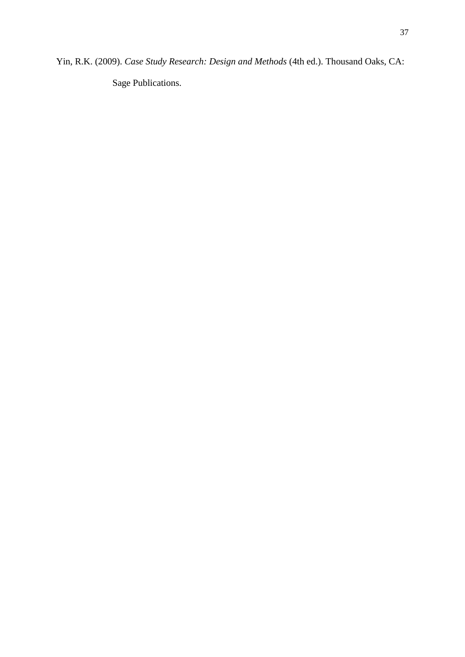Yin, R.K. (2009). *Case Study Research: Design and Methods* (4th ed.). Thousand Oaks, CA:

Sage Publications.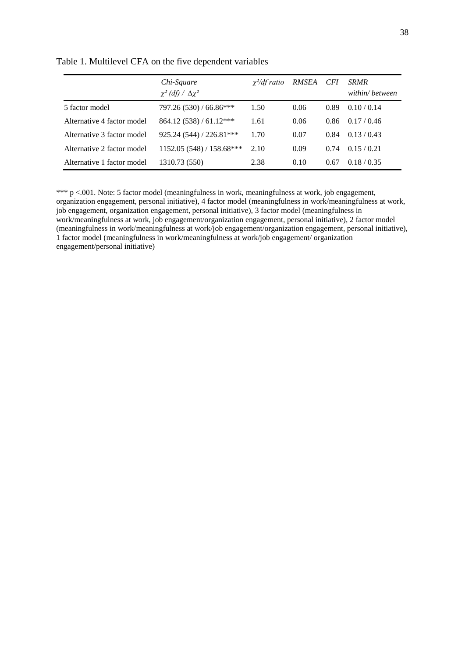|                            | Chi-Square<br>$\chi^2$ (df) / $\Delta \chi^2$ | $\chi^2$ df ratio | RMSEA | CFI  | <b>SRMR</b><br>within/between |  |
|----------------------------|-----------------------------------------------|-------------------|-------|------|-------------------------------|--|
|                            |                                               |                   |       |      |                               |  |
| 5 factor model             | $797.26(530)/66.86***$                        | 1.50              | 0.06  | 0.89 | 0.10/0.14                     |  |
| Alternative 4 factor model | $864.12(538)/61.12***$                        | 1.61              | 0.06  | 0.86 | 0.17/0.46                     |  |
| Alternative 3 factor model | $925.24(544)/226.81***$                       | 1.70              | 0.07  | 0.84 | 0.13/0.43                     |  |
| Alternative 2 factor model | $1152.05(548)/158.68***$                      | 2.10              | 0.09  | 0.74 | 0.15/0.21                     |  |
| Alternative 1 factor model | 1310.73 (550)                                 | 2.38              | 0.10  | 0.67 | 0.18/0.35                     |  |

Table 1. Multilevel CFA on the five dependent variables

\*\*\* p <.001. Note: 5 factor model (meaningfulness in work, meaningfulness at work, job engagement, organization engagement, personal initiative), 4 factor model (meaningfulness in work/meaningfulness at work, job engagement, organization engagement, personal initiative), 3 factor model (meaningfulness in work/meaningfulness at work, job engagement/organization engagement, personal initiative), 2 factor model (meaningfulness in work/meaningfulness at work/job engagement/organization engagement, personal initiative), 1 factor model (meaningfulness in work/meaningfulness at work/job engagement/ organization engagement/personal initiative)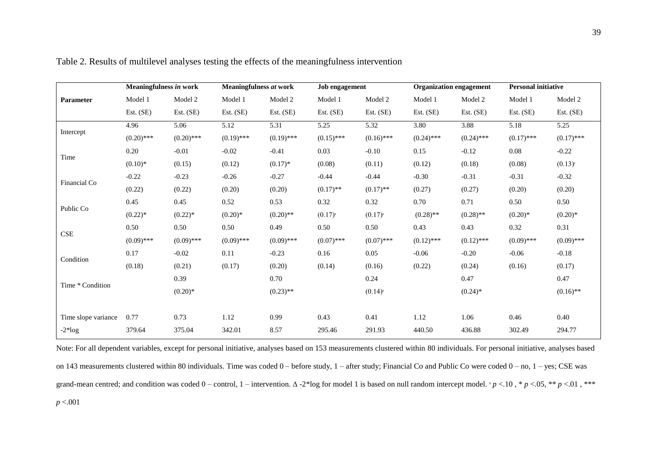|                     | Meaningfulness in work |              | Meaningfulness at work |              | <b>Job</b> engagement                                                                                                              |              | <b>Organization engagement</b> |              | <b>Personal initiative</b>                                                                                                              |              |
|---------------------|------------------------|--------------|------------------------|--------------|------------------------------------------------------------------------------------------------------------------------------------|--------------|--------------------------------|--------------|-----------------------------------------------------------------------------------------------------------------------------------------|--------------|
| <b>Parameter</b>    | Model 1                | Model 2      | Model 1                | Model 2      | Model 1                                                                                                                            | Model 2      | Model 1                        | Model 2      | Model 1                                                                                                                                 | Model 2      |
|                     | Est. (SE)              | Est. $(SE)$  | Est. (SE)              | Est. (SE)    | Est. $(SE)$                                                                                                                        | Est. (SE)    | Est. (SE)                      | Est. (SE)    | Est. (SE)                                                                                                                               | Est. $(SE)$  |
| Intercept           | 4.96                   | 5.06         | 5.12                   | 5.31         | 5.25                                                                                                                               | 5.32         | 3.80                           | 3.88         | 5.18                                                                                                                                    | 5.25         |
|                     | $(0.20)$ ***           | $(0.20)$ *** | $(0.19)$ ***           | $(0.19)$ *** | $(0.15)$ ***                                                                                                                       | $(0.16)$ *** | $(0.24)$ ***                   | $(0.24)$ *** | $(0.17)$ ***<br>0.08<br>(0.08)<br>$-0.31$<br>(0.20)<br>0.50<br>$(0.20)*$<br>0.32<br>$(0.09)$ ***<br>$-0.06$<br>(0.16)<br>0.46<br>302.49 | $(0.17)$ *** |
| Time                | 0.20                   | $-0.01$      | $-0.02$                | $-0.41$      | 0.03                                                                                                                               | $-0.10$      | 0.15                           | $-0.12$      |                                                                                                                                         | $-0.22$      |
|                     | $(0.10)*$              | (0.15)       | (0.12)                 | $(0.17)*$    | (0.08)<br>(0.18)<br>(0.11)<br>(0.12)<br>$-0.31$<br>$-0.44$<br>$-0.44$<br>$-0.30$<br>$(0.17)$ **<br>$(0.17)$ **<br>(0.27)<br>(0.27) |              | $(0.13)^{1}$                   |              |                                                                                                                                         |              |
| Financial Co        | $-0.22$                | $-0.23$      | $-0.26$                | $-0.27$      |                                                                                                                                    |              |                                |              |                                                                                                                                         | $-0.32$      |
|                     | (0.22)                 | (0.22)       | (0.20)                 | (0.20)       |                                                                                                                                    |              |                                |              |                                                                                                                                         | (0.20)       |
| Public Co           | 0.45                   | 0.45         | 0.52                   | 0.53         | 0.32                                                                                                                               | 0.32         | 0.70                           | 0.71         |                                                                                                                                         | 0.50         |
|                     | $(0.22)*$              | $(0.22)*$    | $(0.20)*$              | $(0.20)$ **  | $(0.17)^{1}$                                                                                                                       | $(0.17)^{1}$ | $(0.28)$ **                    | $(0.28)$ **  |                                                                                                                                         | $(0.20)*$    |
| CSE                 | 0.50                   | 0.50         | 0.50                   | 0.49         | 0.50                                                                                                                               | 0.50         | 0.43                           | 0.43         |                                                                                                                                         | 0.31         |
|                     | $(0.09)$ ***           | $(0.09)$ *** | $(0.09)$ ***           | $(0.09)$ *** | $(0.07)$ ***                                                                                                                       | $(0.07)$ *** | $(0.12)$ ***                   | $(0.12)$ *** |                                                                                                                                         | $(0.09)$ *** |
| Condition           | 0.17                   | $-0.02$      | 0.11                   | $-0.23$      | 0.16                                                                                                                               | 0.05         | $-0.06$                        | $-0.20$      |                                                                                                                                         | $-0.18$      |
|                     | (0.18)                 | (0.21)       | (0.17)                 | (0.20)       | (0.14)                                                                                                                             | (0.16)       | (0.22)                         | (0.24)       |                                                                                                                                         | (0.17)       |
| Time * Condition    |                        | 0.39         |                        | 0.70         |                                                                                                                                    | 0.24         |                                | 0.47         |                                                                                                                                         | 0.47         |
|                     |                        | $(0.20)*$    |                        | $(0.23)$ **  |                                                                                                                                    | $(0.14)^{i}$ |                                | $(0.24)$ *   |                                                                                                                                         | $(0.16)$ **  |
|                     |                        |              |                        |              |                                                                                                                                    |              |                                |              |                                                                                                                                         |              |
| Time slope variance | 0.77                   | 0.73         | 1.12                   | 0.99         | 0.43                                                                                                                               | 0.41         | 1.12                           | 1.06         |                                                                                                                                         | 0.40         |
| $-2*log$            | 379.64                 | 375.04       | 342.01                 | 8.57         | 295.46                                                                                                                             | 291.93       | 440.50                         | 436.88       |                                                                                                                                         | 294.77       |

Table 2. Results of multilevel analyses testing the effects of the meaningfulness intervention

Note: For all dependent variables, except for personal initiative, analyses based on 153 measurements clustered within 80 individuals. For personal initiative, analyses based on 143 measurements clustered within 80 individuals. Time was coded 0 – before study, 1 – after study; Financial Co and Public Co were coded 0 – no, 1 – yes; CSE was grand-mean centred; and condition was coded 0 – control, 1 – intervention.  $\Delta - 2*$ log for model 1 is based on null random intercept model. <sup>*i</sup>p* <.10,  $*$ *p* <.05,  $**$ *p* <.01,  $**$ </sup> *p* <.001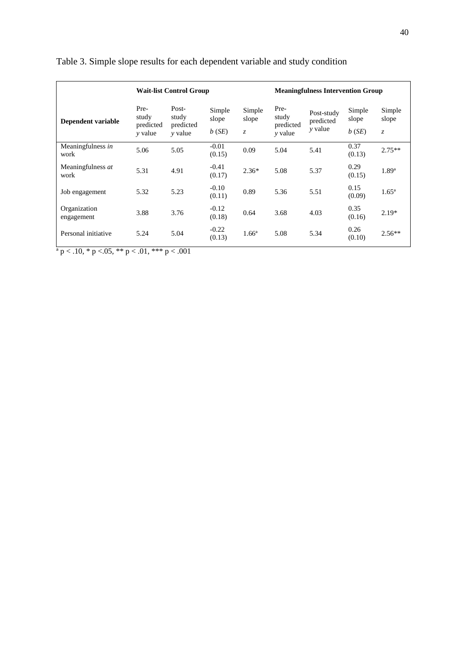|                            | <b>Wait-list Control Group</b>        |                                        |                          |                                | <b>Meaningfulness Intervention Group</b> |                                    |                          |                                |
|----------------------------|---------------------------------------|----------------------------------------|--------------------------|--------------------------------|------------------------------------------|------------------------------------|--------------------------|--------------------------------|
| Dependent variable         | Pre-<br>study<br>predicted<br>y value | Post-<br>study<br>predicted<br>y value | Simple<br>slope<br>b(SE) | Simple<br>slope<br>$Z_{\rm c}$ | Pre-<br>study<br>predicted<br>y value    | Post-study<br>predicted<br>y value | Simple<br>slope<br>b(SE) | Simple<br>slope<br>$Z_{\cdot}$ |
|                            |                                       |                                        |                          |                                |                                          |                                    |                          |                                |
| Meaningfulness in<br>work  | 5.06                                  | 5.05                                   | $-0.01$<br>(0.15)        | 0.09                           | 5.04                                     | 5.41                               | 0.37<br>(0.13)           | $2.75**$                       |
| Meaningfulness at<br>work  | 5.31                                  | 4.91                                   | $-0.41$<br>(0.17)        | $2.36*$                        | 5.08                                     | 5.37                               | 0.29<br>(0.15)           | $1.89^{a}$                     |
| Job engagement             | 5.32                                  | 5.23                                   | $-0.10$<br>(0.11)        | 0.89                           | 5.36                                     | 5.51                               | 0.15<br>(0.09)           | $1.65^{\circ}$                 |
| Organization<br>engagement | 3.88                                  | 3.76                                   | $-0.12$<br>(0.18)        | 0.64                           | 3.68                                     | 4.03                               | 0.35<br>(0.16)           | $2.19*$                        |
| Personal initiative        | 5.24                                  | 5.04                                   | $-0.22$<br>(0.13)        | $1.66^{\circ}$                 | 5.08                                     | 5.34                               | 0.26<br>(0.10)           | $2.56**$                       |

# Table 3. Simple slope results for each dependent variable and study condition

 $\frac{1}{p}$  a p < .10, \* p < .05, \*\* p < .01, \*\*\* p < .001